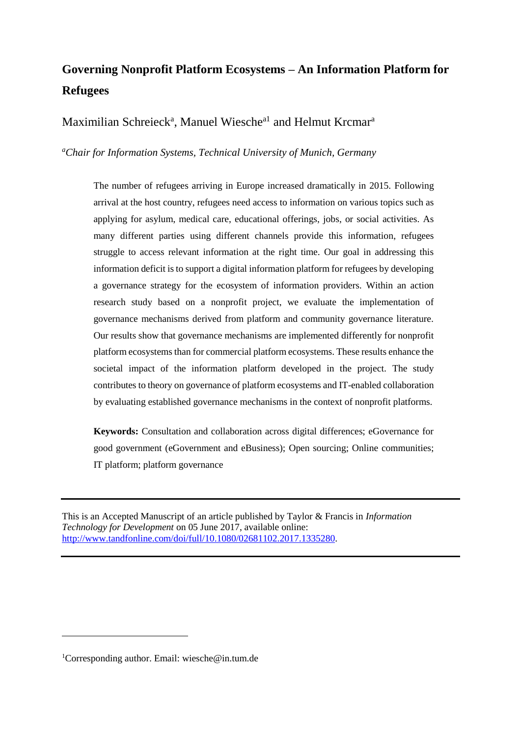# **Governing Nonprofit Platform Ecosystems – An Information Platform for Refugees**

Maximilian Schreieck<sup>a</sup>, Manuel Wiesche<sup>al</sup> and Helmut Krcmar<sup>a</sup>

*<sup>a</sup>Chair for Information Systems, Technical University of Munich, Germany*

The number of refugees arriving in Europe increased dramatically in 2015. Following arrival at the host country, refugees need access to information on various topics such as applying for asylum, medical care, educational offerings, jobs, or social activities. As many different parties using different channels provide this information, refugees struggle to access relevant information at the right time. Our goal in addressing this information deficit is to support a digital information platform for refugees by developing a governance strategy for the ecosystem of information providers. Within an action research study based on a nonprofit project, we evaluate the implementation of governance mechanisms derived from platform and community governance literature. Our results show that governance mechanisms are implemented differently for nonprofit platform ecosystems than for commercial platform ecosystems. These results enhance the societal impact of the information platform developed in the project. The study contributes to theory on governance of platform ecosystems and IT-enabled collaboration by evaluating established governance mechanisms in the context of nonprofit platforms.

**Keywords:** Consultation and collaboration across digital differences; eGovernance for good government (eGovernment and eBusiness); Open sourcing; Online communities; IT platform; platform governance

This is an Accepted Manuscript of an article published by Taylor & Francis in *Information Technology for Development* on 05 June 2017, available online: [http://www.tandfonline.com/doi/full/10.1080/02681102.2017.1335280.](http://www.tandfonline.com/doi/full/10.1080/02681102.2017.1335280)

1

<sup>&</sup>lt;sup>1</sup>Corresponding author. Email: wiesche@in.tum.de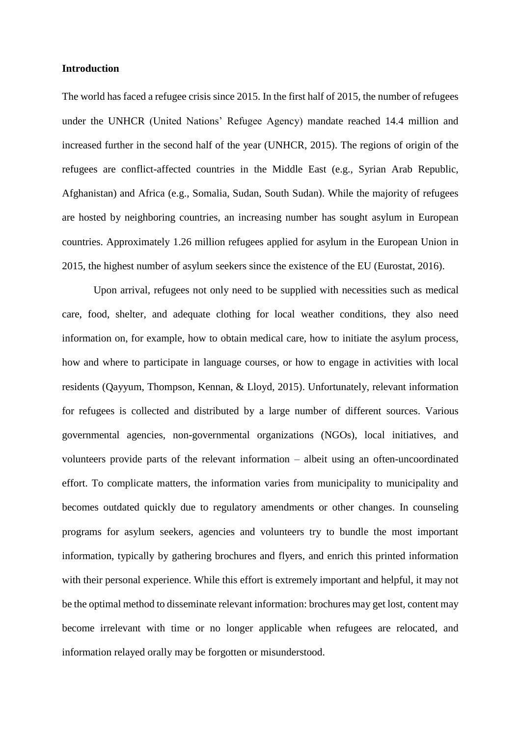## **Introduction**

The world has faced a refugee crisis since 2015. In the first half of 2015, the number of refugees under the UNHCR (United Nations' Refugee Agency) mandate reached 14.4 million and increased further in the second half of the year (UNHCR, 2015). The regions of origin of the refugees are conflict-affected countries in the Middle East (e.g., Syrian Arab Republic, Afghanistan) and Africa (e.g., Somalia, Sudan, South Sudan). While the majority of refugees are hosted by neighboring countries, an increasing number has sought asylum in European countries. Approximately 1.26 million refugees applied for asylum in the European Union in 2015, the highest number of asylum seekers since the existence of the EU (Eurostat, 2016).

Upon arrival, refugees not only need to be supplied with necessities such as medical care, food, shelter, and adequate clothing for local weather conditions, they also need information on, for example, how to obtain medical care, how to initiate the asylum process, how and where to participate in language courses, or how to engage in activities with local residents (Qayyum, Thompson, Kennan, & Lloyd, 2015). Unfortunately, relevant information for refugees is collected and distributed by a large number of different sources. Various governmental agencies, non-governmental organizations (NGOs), local initiatives, and volunteers provide parts of the relevant information – albeit using an often-uncoordinated effort. To complicate matters, the information varies from municipality to municipality and becomes outdated quickly due to regulatory amendments or other changes. In counseling programs for asylum seekers, agencies and volunteers try to bundle the most important information, typically by gathering brochures and flyers, and enrich this printed information with their personal experience. While this effort is extremely important and helpful, it may not be the optimal method to disseminate relevant information: brochures may get lost, content may become irrelevant with time or no longer applicable when refugees are relocated, and information relayed orally may be forgotten or misunderstood.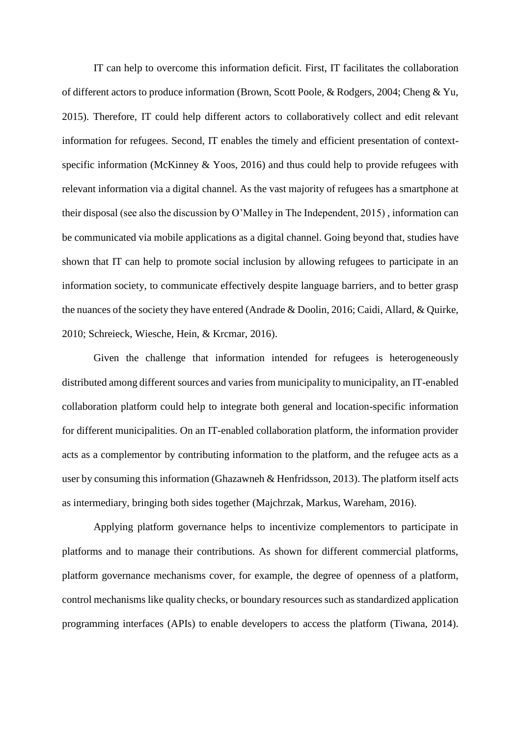IT can help to overcome this information deficit. First, IT facilitates the collaboration of different actors to produce information (Brown, Scott Poole, & Rodgers, 2004; Cheng & Yu, 2015). Therefore, IT could help different actors to collaboratively collect and edit relevant information for refugees. Second, IT enables the timely and efficient presentation of contextspecific information (McKinney & Yoos, 2016) and thus could help to provide refugees with relevant information via a digital channel. As the vast majority of refugees has a smartphone at their disposal (see also the discussion by O'Malley in The Independent, 2015) , information can be communicated via mobile applications as a digital channel. Going beyond that, studies have shown that IT can help to promote social inclusion by allowing refugees to participate in an information society, to communicate effectively despite language barriers, and to better grasp the nuances of the society they have entered (Andrade & Doolin, 2016; Caidi, Allard, & Quirke, 2010; Schreieck, Wiesche, Hein, & Krcmar, 2016).

Given the challenge that information intended for refugees is heterogeneously distributed among different sources and varies from municipality to municipality, an IT-enabled collaboration platform could help to integrate both general and location-specific information for different municipalities. On an IT-enabled collaboration platform, the information provider acts as a complementor by contributing information to the platform, and the refugee acts as a user by consuming this information (Ghazawneh & Henfridsson, 2013). The platform itself acts as intermediary, bringing both sides together (Majchrzak, Markus, Wareham, 2016).

Applying platform governance helps to incentivize complementors to participate in platforms and to manage their contributions. As shown for different commercial platforms, platform governance mechanisms cover, for example, the degree of openness of a platform, control mechanisms like quality checks, or boundary resources such as standardized application programming interfaces (APIs) to enable developers to access the platform (Tiwana, 2014).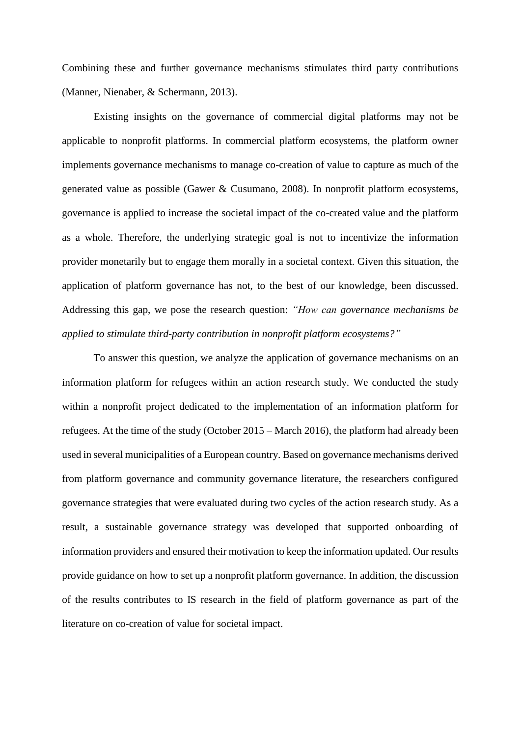Combining these and further governance mechanisms stimulates third party contributions (Manner, Nienaber, & Schermann, 2013).

Existing insights on the governance of commercial digital platforms may not be applicable to nonprofit platforms. In commercial platform ecosystems, the platform owner implements governance mechanisms to manage co-creation of value to capture as much of the generated value as possible (Gawer & Cusumano, 2008). In nonprofit platform ecosystems, governance is applied to increase the societal impact of the co-created value and the platform as a whole. Therefore, the underlying strategic goal is not to incentivize the information provider monetarily but to engage them morally in a societal context. Given this situation, the application of platform governance has not, to the best of our knowledge, been discussed. Addressing this gap, we pose the research question: *"How can governance mechanisms be applied to stimulate third-party contribution in nonprofit platform ecosystems?"*

To answer this question, we analyze the application of governance mechanisms on an information platform for refugees within an action research study. We conducted the study within a nonprofit project dedicated to the implementation of an information platform for refugees. At the time of the study (October 2015 – March 2016), the platform had already been used in several municipalities of a European country. Based on governance mechanisms derived from platform governance and community governance literature, the researchers configured governance strategies that were evaluated during two cycles of the action research study. As a result, a sustainable governance strategy was developed that supported onboarding of information providers and ensured their motivation to keep the information updated. Our results provide guidance on how to set up a nonprofit platform governance. In addition, the discussion of the results contributes to IS research in the field of platform governance as part of the literature on co-creation of value for societal impact.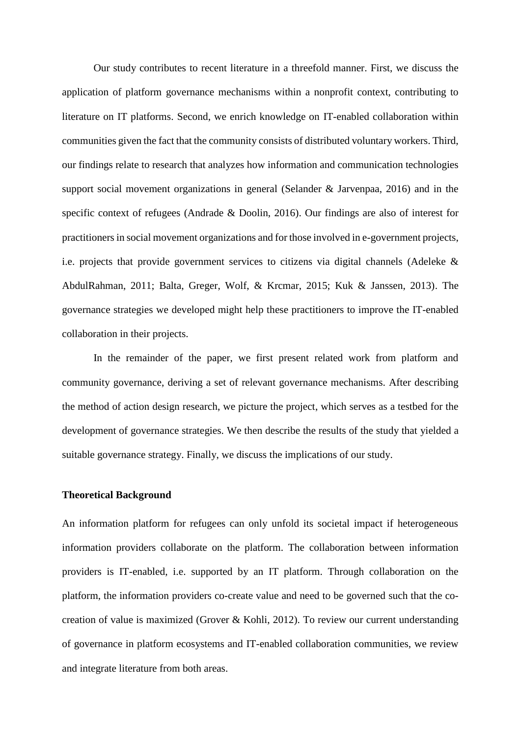Our study contributes to recent literature in a threefold manner. First, we discuss the application of platform governance mechanisms within a nonprofit context, contributing to literature on IT platforms. Second, we enrich knowledge on IT-enabled collaboration within communities given the fact that the community consists of distributed voluntary workers. Third, our findings relate to research that analyzes how information and communication technologies support social movement organizations in general (Selander & Jarvenpaa, 2016) and in the specific context of refugees (Andrade & Doolin, 2016). Our findings are also of interest for practitioners in social movement organizations and for those involved in e-government projects, i.e. projects that provide government services to citizens via digital channels (Adeleke & AbdulRahman, 2011; Balta, Greger, Wolf, & Krcmar, 2015; Kuk & Janssen, 2013). The governance strategies we developed might help these practitioners to improve the IT-enabled collaboration in their projects.

In the remainder of the paper, we first present related work from platform and community governance, deriving a set of relevant governance mechanisms. After describing the method of action design research, we picture the project, which serves as a testbed for the development of governance strategies. We then describe the results of the study that yielded a suitable governance strategy. Finally, we discuss the implications of our study.

## **Theoretical Background**

An information platform for refugees can only unfold its societal impact if heterogeneous information providers collaborate on the platform. The collaboration between information providers is IT-enabled, i.e. supported by an IT platform. Through collaboration on the platform, the information providers co-create value and need to be governed such that the cocreation of value is maximized (Grover & Kohli, 2012). To review our current understanding of governance in platform ecosystems and IT-enabled collaboration communities, we review and integrate literature from both areas.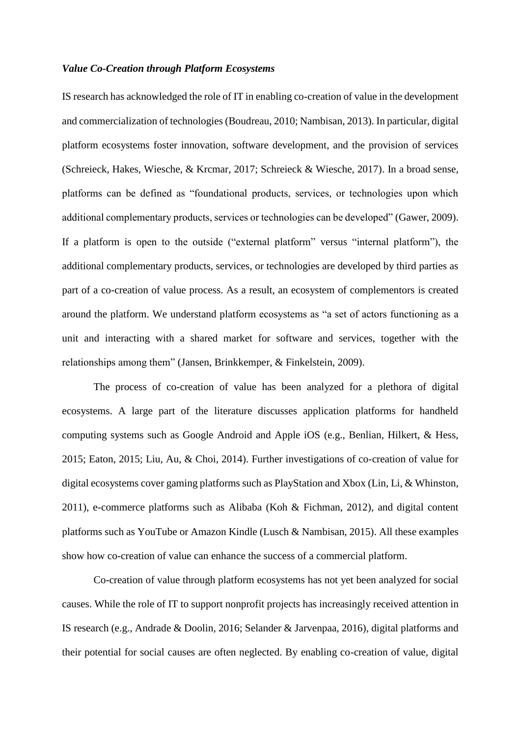## *Value Co-Creation through Platform Ecosystems*

IS research has acknowledged the role of IT in enabling co-creation of value in the development and commercialization of technologies (Boudreau, 2010; Nambisan, 2013). In particular, digital platform ecosystems foster innovation, software development, and the provision of services (Schreieck, Hakes, Wiesche, & Krcmar, 2017; Schreieck & Wiesche, 2017). In a broad sense, platforms can be defined as "foundational products, services, or technologies upon which additional complementary products, services or technologies can be developed" (Gawer, 2009). If a platform is open to the outside ("external platform" versus "internal platform"), the additional complementary products, services, or technologies are developed by third parties as part of a co-creation of value process. As a result, an ecosystem of complementors is created around the platform. We understand platform ecosystems as "a set of actors functioning as a unit and interacting with a shared market for software and services, together with the relationships among them" (Jansen, Brinkkemper, & Finkelstein, 2009).

The process of co-creation of value has been analyzed for a plethora of digital ecosystems. A large part of the literature discusses application platforms for handheld computing systems such as Google Android and Apple iOS (e.g., Benlian, Hilkert, & Hess, 2015; Eaton, 2015; Liu, Au, & Choi, 2014). Further investigations of co-creation of value for digital ecosystems cover gaming platforms such as PlayStation and Xbox (Lin, Li, & Whinston, 2011), e-commerce platforms such as Alibaba (Koh & Fichman, 2012), and digital content platforms such as YouTube or Amazon Kindle (Lusch & Nambisan, 2015). All these examples show how co-creation of value can enhance the success of a commercial platform.

Co-creation of value through platform ecosystems has not yet been analyzed for social causes. While the role of IT to support nonprofit projects has increasingly received attention in IS research (e.g., Andrade & Doolin, 2016; Selander & Jarvenpaa, 2016), digital platforms and their potential for social causes are often neglected. By enabling co-creation of value, digital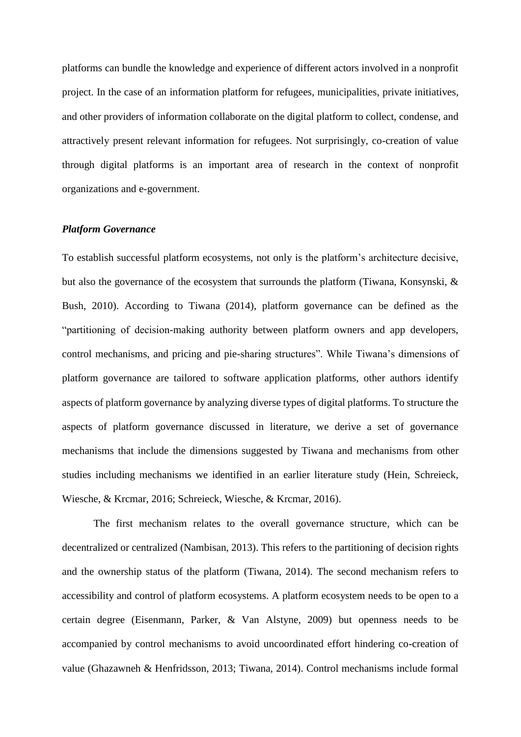platforms can bundle the knowledge and experience of different actors involved in a nonprofit project. In the case of an information platform for refugees, municipalities, private initiatives, and other providers of information collaborate on the digital platform to collect, condense, and attractively present relevant information for refugees. Not surprisingly, co-creation of value through digital platforms is an important area of research in the context of nonprofit organizations and e-government.

#### *Platform Governance*

To establish successful platform ecosystems, not only is the platform's architecture decisive, but also the governance of the ecosystem that surrounds the platform (Tiwana, Konsynski, & Bush, 2010). According to Tiwana (2014), platform governance can be defined as the "partitioning of decision-making authority between platform owners and app developers, control mechanisms, and pricing and pie-sharing structures". While Tiwana's dimensions of platform governance are tailored to software application platforms, other authors identify aspects of platform governance by analyzing diverse types of digital platforms. To structure the aspects of platform governance discussed in literature, we derive a set of governance mechanisms that include the dimensions suggested by Tiwana and mechanisms from other studies including mechanisms we identified in an earlier literature study (Hein, Schreieck, Wiesche, & Krcmar, 2016; Schreieck, Wiesche, & Krcmar, 2016).

The first mechanism relates to the overall governance structure, which can be decentralized or centralized (Nambisan, 2013). This refers to the partitioning of decision rights and the ownership status of the platform (Tiwana, 2014). The second mechanism refers to accessibility and control of platform ecosystems. A platform ecosystem needs to be open to a certain degree (Eisenmann, Parker, & Van Alstyne, 2009) but openness needs to be accompanied by control mechanisms to avoid uncoordinated effort hindering co-creation of value (Ghazawneh & Henfridsson, 2013; Tiwana, 2014). Control mechanisms include formal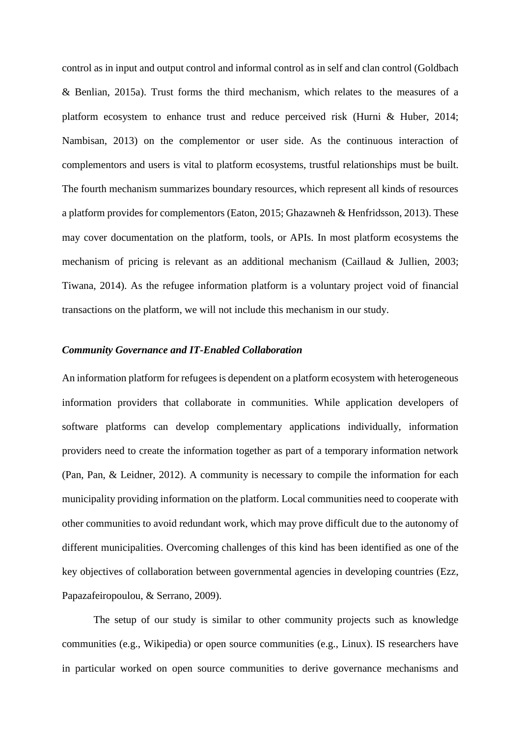control as in input and output control and informal control as in self and clan control (Goldbach & Benlian, 2015a). Trust forms the third mechanism, which relates to the measures of a platform ecosystem to enhance trust and reduce perceived risk (Hurni & Huber, 2014; Nambisan, 2013) on the complementor or user side. As the continuous interaction of complementors and users is vital to platform ecosystems, trustful relationships must be built. The fourth mechanism summarizes boundary resources, which represent all kinds of resources a platform provides for complementors (Eaton, 2015; Ghazawneh & Henfridsson, 2013). These may cover documentation on the platform, tools, or APIs. In most platform ecosystems the mechanism of pricing is relevant as an additional mechanism (Caillaud & Jullien, 2003; Tiwana, 2014). As the refugee information platform is a voluntary project void of financial transactions on the platform, we will not include this mechanism in our study.

## *Community Governance and IT-Enabled Collaboration*

An information platform for refugees is dependent on a platform ecosystem with heterogeneous information providers that collaborate in communities. While application developers of software platforms can develop complementary applications individually, information providers need to create the information together as part of a temporary information network (Pan, Pan, & Leidner, 2012). A community is necessary to compile the information for each municipality providing information on the platform. Local communities need to cooperate with other communities to avoid redundant work, which may prove difficult due to the autonomy of different municipalities. Overcoming challenges of this kind has been identified as one of the key objectives of collaboration between governmental agencies in developing countries (Ezz, Papazafeiropoulou, & Serrano, 2009).

The setup of our study is similar to other community projects such as knowledge communities (e.g., Wikipedia) or open source communities (e.g., Linux). IS researchers have in particular worked on open source communities to derive governance mechanisms and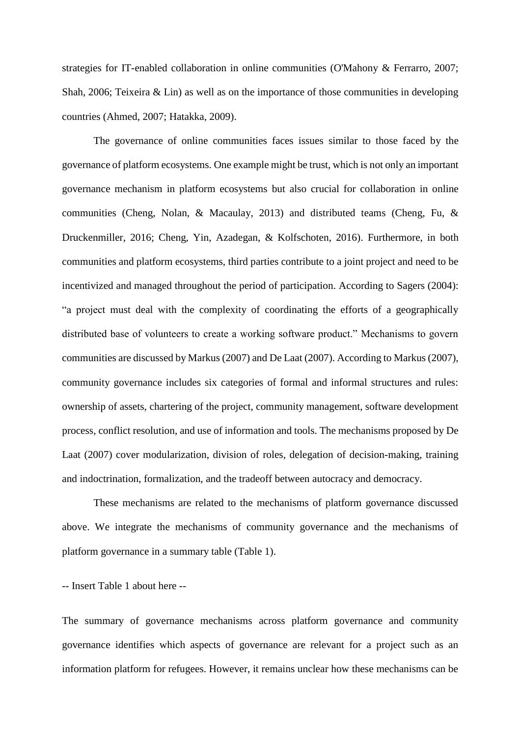strategies for IT-enabled collaboration in online communities (O'Mahony & Ferrarro, 2007; Shah, 2006; Teixeira & Lin) as well as on the importance of those communities in developing countries (Ahmed, 2007; Hatakka, 2009).

The governance of online communities faces issues similar to those faced by the governance of platform ecosystems. One example might be trust, which is not only an important governance mechanism in platform ecosystems but also crucial for collaboration in online communities (Cheng, Nolan, & Macaulay, 2013) and distributed teams (Cheng, Fu, & Druckenmiller, 2016; Cheng, Yin, Azadegan, & Kolfschoten, 2016). Furthermore, in both communities and platform ecosystems, third parties contribute to a joint project and need to be incentivized and managed throughout the period of participation. According to Sagers (2004): "a project must deal with the complexity of coordinating the efforts of a geographically distributed base of volunteers to create a working software product." Mechanisms to govern communities are discussed by Markus (2007) and De Laat (2007). According to Markus (2007), community governance includes six categories of formal and informal structures and rules: ownership of assets, chartering of the project, community management, software development process, conflict resolution, and use of information and tools. The mechanisms proposed by De Laat (2007) cover modularization, division of roles, delegation of decision-making, training and indoctrination, formalization, and the tradeoff between autocracy and democracy.

These mechanisms are related to the mechanisms of platform governance discussed above. We integrate the mechanisms of community governance and the mechanisms of platform governance in a summary table [\(Table 1\)](#page-34-0).

-- Insert [Table 1](#page-34-0) about here --

The summary of governance mechanisms across platform governance and community governance identifies which aspects of governance are relevant for a project such as an information platform for refugees. However, it remains unclear how these mechanisms can be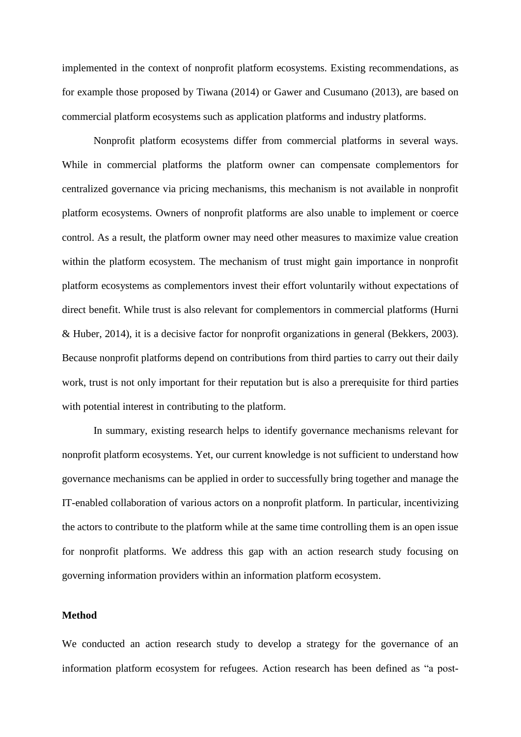implemented in the context of nonprofit platform ecosystems. Existing recommendations, as for example those proposed by Tiwana (2014) or Gawer and Cusumano (2013), are based on commercial platform ecosystems such as application platforms and industry platforms.

Nonprofit platform ecosystems differ from commercial platforms in several ways. While in commercial platforms the platform owner can compensate complementors for centralized governance via pricing mechanisms, this mechanism is not available in nonprofit platform ecosystems. Owners of nonprofit platforms are also unable to implement or coerce control. As a result, the platform owner may need other measures to maximize value creation within the platform ecosystem. The mechanism of trust might gain importance in nonprofit platform ecosystems as complementors invest their effort voluntarily without expectations of direct benefit. While trust is also relevant for complementors in commercial platforms (Hurni & Huber, 2014), it is a decisive factor for nonprofit organizations in general (Bekkers, 2003). Because nonprofit platforms depend on contributions from third parties to carry out their daily work, trust is not only important for their reputation but is also a prerequisite for third parties with potential interest in contributing to the platform.

In summary, existing research helps to identify governance mechanisms relevant for nonprofit platform ecosystems. Yet, our current knowledge is not sufficient to understand how governance mechanisms can be applied in order to successfully bring together and manage the IT-enabled collaboration of various actors on a nonprofit platform. In particular, incentivizing the actors to contribute to the platform while at the same time controlling them is an open issue for nonprofit platforms. We address this gap with an action research study focusing on governing information providers within an information platform ecosystem.

#### **Method**

We conducted an action research study to develop a strategy for the governance of an information platform ecosystem for refugees. Action research has been defined as "a post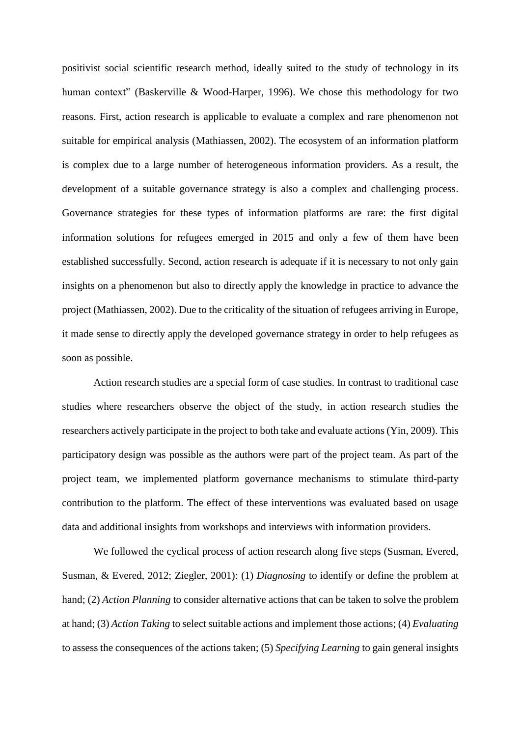positivist social scientific research method, ideally suited to the study of technology in its human context" (Baskerville & Wood-Harper, 1996). We chose this methodology for two reasons. First, action research is applicable to evaluate a complex and rare phenomenon not suitable for empirical analysis (Mathiassen, 2002). The ecosystem of an information platform is complex due to a large number of heterogeneous information providers. As a result, the development of a suitable governance strategy is also a complex and challenging process. Governance strategies for these types of information platforms are rare: the first digital information solutions for refugees emerged in 2015 and only a few of them have been established successfully. Second, action research is adequate if it is necessary to not only gain insights on a phenomenon but also to directly apply the knowledge in practice to advance the project (Mathiassen, 2002). Due to the criticality of the situation of refugees arriving in Europe, it made sense to directly apply the developed governance strategy in order to help refugees as soon as possible.

Action research studies are a special form of case studies. In contrast to traditional case studies where researchers observe the object of the study, in action research studies the researchers actively participate in the project to both take and evaluate actions (Yin, 2009). This participatory design was possible as the authors were part of the project team. As part of the project team, we implemented platform governance mechanisms to stimulate third-party contribution to the platform. The effect of these interventions was evaluated based on usage data and additional insights from workshops and interviews with information providers.

We followed the cyclical process of action research along five steps (Susman, Evered, Susman, & Evered, 2012; Ziegler, 2001): (1) *Diagnosing* to identify or define the problem at hand; (2) *Action Planning* to consider alternative actions that can be taken to solve the problem at hand; (3) *Action Taking* to select suitable actions and implement those actions; (4) *Evaluating* to assess the consequences of the actions taken; (5) *Specifying Learning* to gain general insights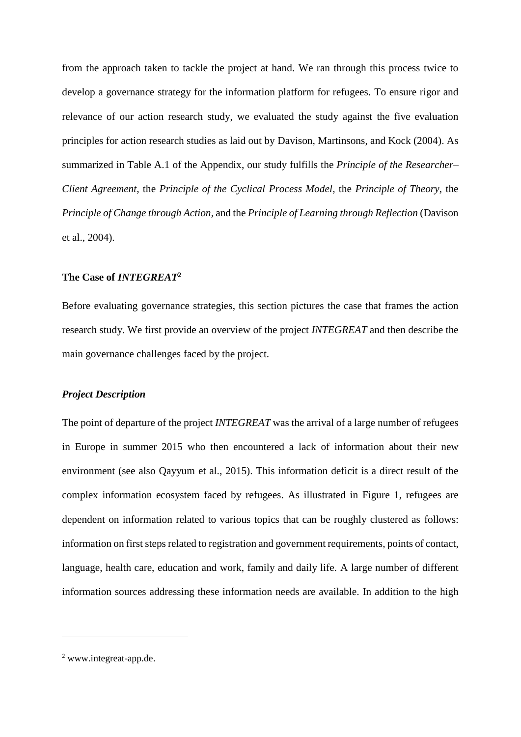from the approach taken to tackle the project at hand. We ran through this process twice to develop a governance strategy for the information platform for refugees. To ensure rigor and relevance of our action research study, we evaluated the study against the five evaluation principles for action research studies as laid out by Davison, Martinsons, and Kock (2004). As summarized in Table A.1 of the Appendix, our study fulfills the *Principle of the Researcher– Client Agreement*, the *Principle of the Cyclical Process Model*, the *Principle of Theory*, the *Principle of Change through Action,* and the *Principle of Learning through Reflection* (Davison et al., 2004).

## **The Case of** *INTEGREAT***<sup>2</sup>**

Before evaluating governance strategies, this section pictures the case that frames the action research study. We first provide an overview of the project *INTEGREAT* and then describe the main governance challenges faced by the project.

#### *Project Description*

The point of departure of the project *INTEGREAT* was the arrival of a large number of refugees in Europe in summer 2015 who then encountered a lack of information about their new environment (see also Qayyum et al., 2015). This information deficit is a direct result of the complex information ecosystem faced by refugees. As illustrated in [Figure 1,](#page-37-0) refugees are dependent on information related to various topics that can be roughly clustered as follows: information on first steps related to registration and government requirements, points of contact, language, health care, education and work, family and daily life. A large number of different information sources addressing these information needs are available. In addition to the high

1

<sup>2</sup> www.integreat-app.de.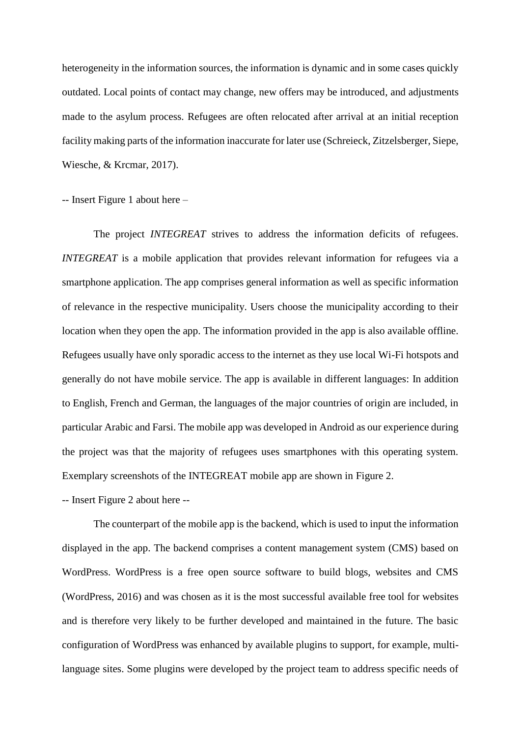heterogeneity in the information sources, the information is dynamic and in some cases quickly outdated. Local points of contact may change, new offers may be introduced, and adjustments made to the asylum process. Refugees are often relocated after arrival at an initial reception facility making parts of the information inaccurate for later use (Schreieck, Zitzelsberger, Siepe, Wiesche, & Krcmar, 2017).

-- Insert [Figure 1](#page-37-0) about here –

The project *INTEGREAT* strives to address the information deficits of refugees. *INTEGREAT* is a mobile application that provides relevant information for refugees via a smartphone application. The app comprises general information as well as specific information of relevance in the respective municipality. Users choose the municipality according to their location when they open the app. The information provided in the app is also available offline. Refugees usually have only sporadic access to the internet as they use local Wi-Fi hotspots and generally do not have mobile service. The app is available in different languages: In addition to English, French and German, the languages of the major countries of origin are included, in particular Arabic and Farsi. The mobile app was developed in Android as our experience during the project was that the majority of refugees uses smartphones with this operating system. Exemplary screenshots of the INTEGREAT mobile app are shown in [Figure 2.](#page-37-1)

-- Insert [Figure 2](#page-37-1) about here --

The counterpart of the mobile app is the backend, which is used to input the information displayed in the app. The backend comprises a content management system (CMS) based on WordPress. WordPress is a free open source software to build blogs, websites and CMS (WordPress, 2016) and was chosen as it is the most successful available free tool for websites and is therefore very likely to be further developed and maintained in the future. The basic configuration of WordPress was enhanced by available plugins to support, for example, multilanguage sites. Some plugins were developed by the project team to address specific needs of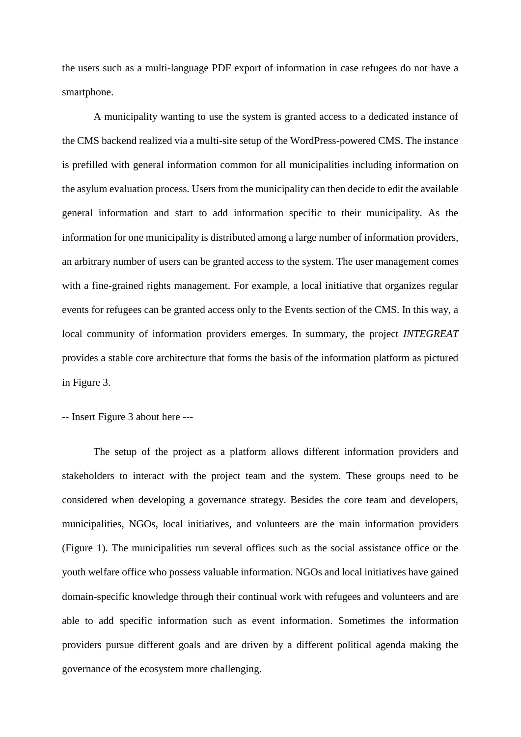the users such as a multi-language PDF export of information in case refugees do not have a smartphone.

A municipality wanting to use the system is granted access to a dedicated instance of the CMS backend realized via a multi-site setup of the WordPress-powered CMS. The instance is prefilled with general information common for all municipalities including information on the asylum evaluation process. Users from the municipality can then decide to edit the available general information and start to add information specific to their municipality. As the information for one municipality is distributed among a large number of information providers, an arbitrary number of users can be granted access to the system. The user management comes with a fine-grained rights management. For example, a local initiative that organizes regular events for refugees can be granted access only to the Events section of the CMS. In this way, a local community of information providers emerges. In summary, the project *INTEGREAT* provides a stable core architecture that forms the basis of the information platform as pictured in [Figure 3.](#page-38-0)

-- Insert [Figure 3](#page-38-0) about here ---

The setup of the project as a platform allows different information providers and stakeholders to interact with the project team and the system. These groups need to be considered when developing a governance strategy. Besides the core team and developers, municipalities, NGOs, local initiatives, and volunteers are the main information providers [\(Figure 1\)](#page-37-0). The municipalities run several offices such as the social assistance office or the youth welfare office who possess valuable information. NGOs and local initiatives have gained domain-specific knowledge through their continual work with refugees and volunteers and are able to add specific information such as event information. Sometimes the information providers pursue different goals and are driven by a different political agenda making the governance of the ecosystem more challenging.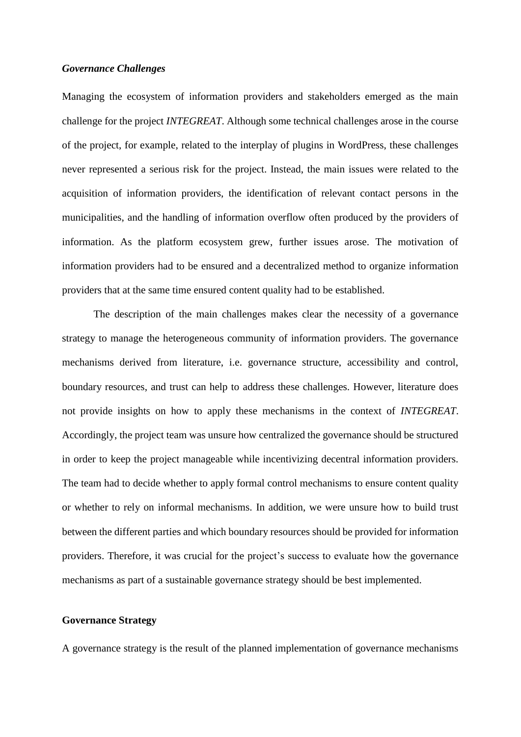## *Governance Challenges*

Managing the ecosystem of information providers and stakeholders emerged as the main challenge for the project *INTEGREAT*. Although some technical challenges arose in the course of the project, for example, related to the interplay of plugins in WordPress, these challenges never represented a serious risk for the project. Instead, the main issues were related to the acquisition of information providers, the identification of relevant contact persons in the municipalities, and the handling of information overflow often produced by the providers of information. As the platform ecosystem grew, further issues arose. The motivation of information providers had to be ensured and a decentralized method to organize information providers that at the same time ensured content quality had to be established.

The description of the main challenges makes clear the necessity of a governance strategy to manage the heterogeneous community of information providers. The governance mechanisms derived from literature, i.e. governance structure, accessibility and control, boundary resources, and trust can help to address these challenges. However, literature does not provide insights on how to apply these mechanisms in the context of *INTEGREAT*. Accordingly, the project team was unsure how centralized the governance should be structured in order to keep the project manageable while incentivizing decentral information providers. The team had to decide whether to apply formal control mechanisms to ensure content quality or whether to rely on informal mechanisms. In addition, we were unsure how to build trust between the different parties and which boundary resources should be provided for information providers. Therefore, it was crucial for the project's success to evaluate how the governance mechanisms as part of a sustainable governance strategy should be best implemented.

## **Governance Strategy**

A governance strategy is the result of the planned implementation of governance mechanisms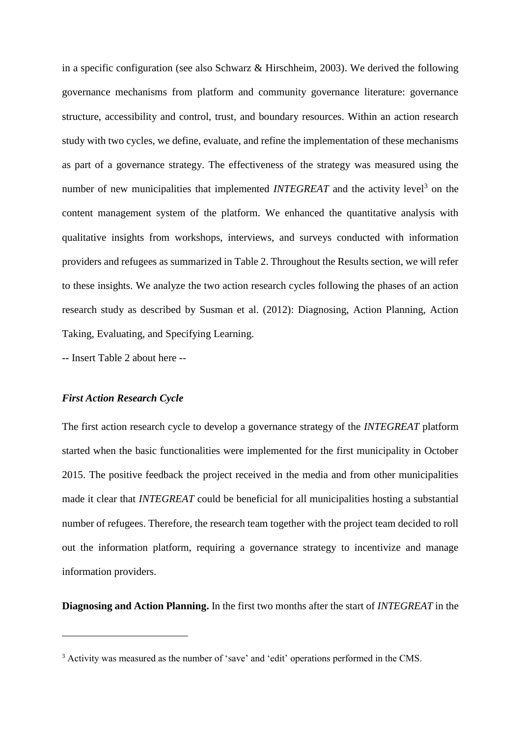in a specific configuration (see also Schwarz & Hirschheim, 2003). We derived the following governance mechanisms from platform and community governance literature: governance structure, accessibility and control, trust, and boundary resources. Within an action research study with two cycles, we define, evaluate, and refine the implementation of these mechanisms as part of a governance strategy. The effectiveness of the strategy was measured using the number of new municipalities that implemented *INTEGREAT* and the activity level<sup>3</sup> on the content management system of the platform. We enhanced the quantitative analysis with qualitative insights from workshops, interviews, and surveys conducted with information providers and refugees as summarized in [Table 2.](#page-34-1) Throughout the Results section, we will refer to these insights. We analyze the two action research cycles following the phases of an action research study as described by Susman et al. (2012): Diagnosing, Action Planning, Action Taking, Evaluating, and Specifying Learning.

-- Insert [Table 2](#page-34-1) about here --

#### *First Action Research Cycle*

1

The first action research cycle to develop a governance strategy of the *INTEGREAT* platform started when the basic functionalities were implemented for the first municipality in October 2015. The positive feedback the project received in the media and from other municipalities made it clear that *INTEGREAT* could be beneficial for all municipalities hosting a substantial number of refugees. Therefore, the research team together with the project team decided to roll out the information platform, requiring a governance strategy to incentivize and manage information providers.

**Diagnosing and Action Planning.** In the first two months after the start of *INTEGREAT* in the

<sup>3</sup> Activity was measured as the number of 'save' and 'edit' operations performed in the CMS.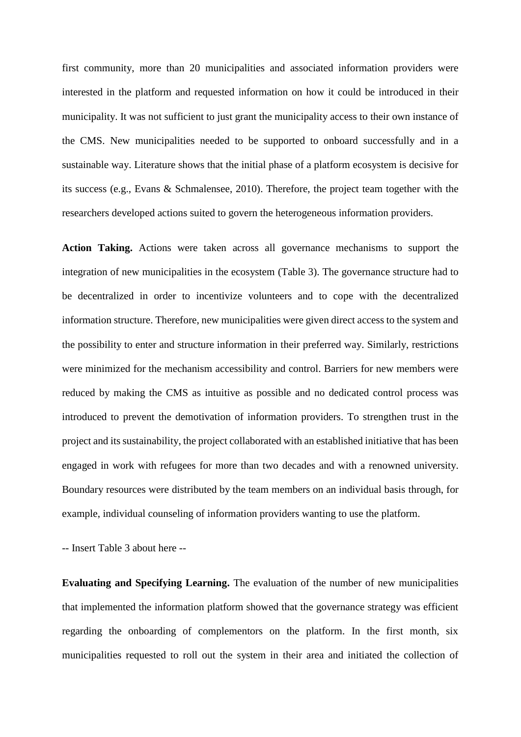first community, more than 20 municipalities and associated information providers were interested in the platform and requested information on how it could be introduced in their municipality. It was not sufficient to just grant the municipality access to their own instance of the CMS. New municipalities needed to be supported to onboard successfully and in a sustainable way. Literature shows that the initial phase of a platform ecosystem is decisive for its success (e.g., Evans & Schmalensee, 2010). Therefore, the project team together with the researchers developed actions suited to govern the heterogeneous information providers.

**Action Taking.** Actions were taken across all governance mechanisms to support the integration of new municipalities in the ecosystem [\(Table 3\)](#page-34-2). The governance structure had to be decentralized in order to incentivize volunteers and to cope with the decentralized information structure. Therefore, new municipalities were given direct access to the system and the possibility to enter and structure information in their preferred way. Similarly, restrictions were minimized for the mechanism accessibility and control. Barriers for new members were reduced by making the CMS as intuitive as possible and no dedicated control process was introduced to prevent the demotivation of information providers. To strengthen trust in the project and its sustainability, the project collaborated with an established initiative that has been engaged in work with refugees for more than two decades and with a renowned university. Boundary resources were distributed by the team members on an individual basis through, for example, individual counseling of information providers wanting to use the platform.

-- Insert [Table 3](#page-34-2) about here --

**Evaluating and Specifying Learning.** The evaluation of the number of new municipalities that implemented the information platform showed that the governance strategy was efficient regarding the onboarding of complementors on the platform. In the first month, six municipalities requested to roll out the system in their area and initiated the collection of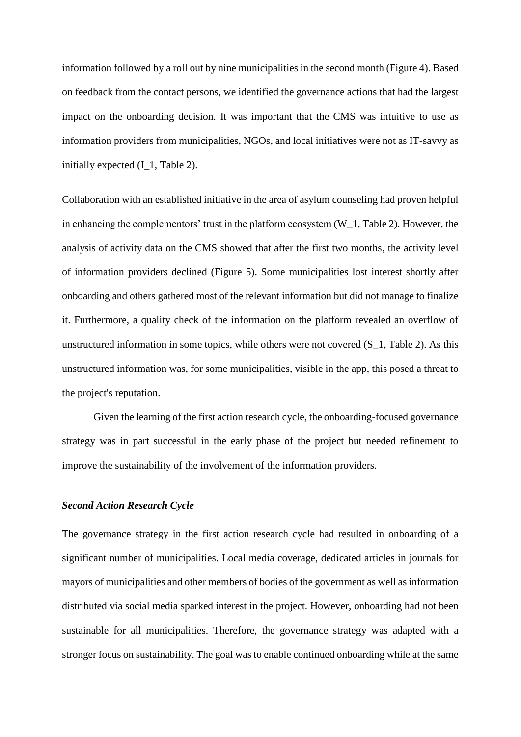information followed by a roll out by nine municipalities in the second month [\(Figure 4\)](#page-39-0). Based on feedback from the contact persons, we identified the governance actions that had the largest impact on the onboarding decision. It was important that the CMS was intuitive to use as information providers from municipalities, NGOs, and local initiatives were not as IT-savvy as initially expected (I\_1, [Table 2\)](#page-34-1).

Collaboration with an established initiative in the area of asylum counseling had proven helpful in enhancing the complementors' trust in the platform ecosystem (W\_1[, Table 2\)](#page-34-1). However, the analysis of activity data on the CMS showed that after the first two months, the activity level of information providers declined [\(Figure 5\)](#page-39-1). Some municipalities lost interest shortly after onboarding and others gathered most of the relevant information but did not manage to finalize it. Furthermore, a quality check of the information on the platform revealed an overflow of unstructured information in some topics, while others were not covered (S\_1, [Table 2\)](#page-34-1). As this unstructured information was, for some municipalities, visible in the app, this posed a threat to the project's reputation.

Given the learning of the first action research cycle, the onboarding-focused governance strategy was in part successful in the early phase of the project but needed refinement to improve the sustainability of the involvement of the information providers.

#### *Second Action Research Cycle*

The governance strategy in the first action research cycle had resulted in onboarding of a significant number of municipalities. Local media coverage, dedicated articles in journals for mayors of municipalities and other members of bodies of the government as well as information distributed via social media sparked interest in the project. However, onboarding had not been sustainable for all municipalities. Therefore, the governance strategy was adapted with a stronger focus on sustainability. The goal was to enable continued onboarding while at the same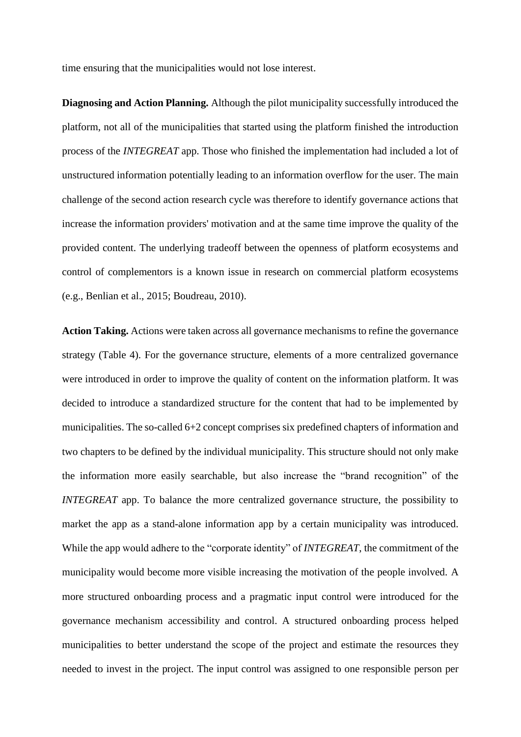time ensuring that the municipalities would not lose interest.

**Diagnosing and Action Planning.** Although the pilot municipality successfully introduced the platform, not all of the municipalities that started using the platform finished the introduction process of the *INTEGREAT* app. Those who finished the implementation had included a lot of unstructured information potentially leading to an information overflow for the user. The main challenge of the second action research cycle was therefore to identify governance actions that increase the information providers' motivation and at the same time improve the quality of the provided content. The underlying tradeoff between the openness of platform ecosystems and control of complementors is a known issue in research on commercial platform ecosystems (e.g., Benlian et al., 2015; Boudreau, 2010).

**Action Taking.** Actions were taken across all governance mechanisms to refine the governance strategy [\(Table 4\)](#page-35-0). For the governance structure, elements of a more centralized governance were introduced in order to improve the quality of content on the information platform. It was decided to introduce a standardized structure for the content that had to be implemented by municipalities. The so-called 6+2 concept comprises six predefined chapters of information and two chapters to be defined by the individual municipality. This structure should not only make the information more easily searchable, but also increase the "brand recognition" of the *INTEGREAT* app. To balance the more centralized governance structure, the possibility to market the app as a stand-alone information app by a certain municipality was introduced. While the app would adhere to the "corporate identity" of *INTEGREAT*, the commitment of the municipality would become more visible increasing the motivation of the people involved. A more structured onboarding process and a pragmatic input control were introduced for the governance mechanism accessibility and control. A structured onboarding process helped municipalities to better understand the scope of the project and estimate the resources they needed to invest in the project. The input control was assigned to one responsible person per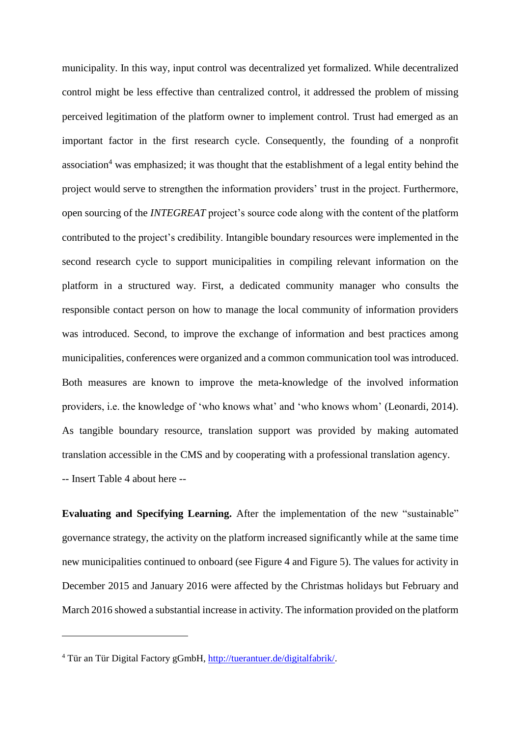municipality. In this way, input control was decentralized yet formalized. While decentralized control might be less effective than centralized control, it addressed the problem of missing perceived legitimation of the platform owner to implement control. Trust had emerged as an important factor in the first research cycle. Consequently, the founding of a nonprofit association<sup>4</sup> was emphasized; it was thought that the establishment of a legal entity behind the project would serve to strengthen the information providers' trust in the project. Furthermore, open sourcing of the *INTEGREAT* project's source code along with the content of the platform contributed to the project's credibility. Intangible boundary resources were implemented in the second research cycle to support municipalities in compiling relevant information on the platform in a structured way. First, a dedicated community manager who consults the responsible contact person on how to manage the local community of information providers was introduced. Second, to improve the exchange of information and best practices among municipalities, conferences were organized and a common communication tool was introduced. Both measures are known to improve the meta-knowledge of the involved information providers, i.e. the knowledge of 'who knows what' and 'who knows whom' (Leonardi, 2014). As tangible boundary resource, translation support was provided by making automated translation accessible in the CMS and by cooperating with a professional translation agency. -- Insert [Table 4](#page-35-0) about here --

**Evaluating and Specifying Learning.** After the implementation of the new "sustainable" governance strategy, the activity on the platform increased significantly while at the same time new municipalities continued to onboard (see [Figure 4](#page-39-0) and [Figure 5\)](#page-39-1). The values for activity in December 2015 and January 2016 were affected by the Christmas holidays but February and March 2016 showed a substantial increase in activity. The information provided on the platform

1

<sup>4</sup> Tür an Tür Digital Factory gGmbH, [http://tuerantuer.de/digitalfabrik/.](http://tuerantuer.de/digitalfabrik/)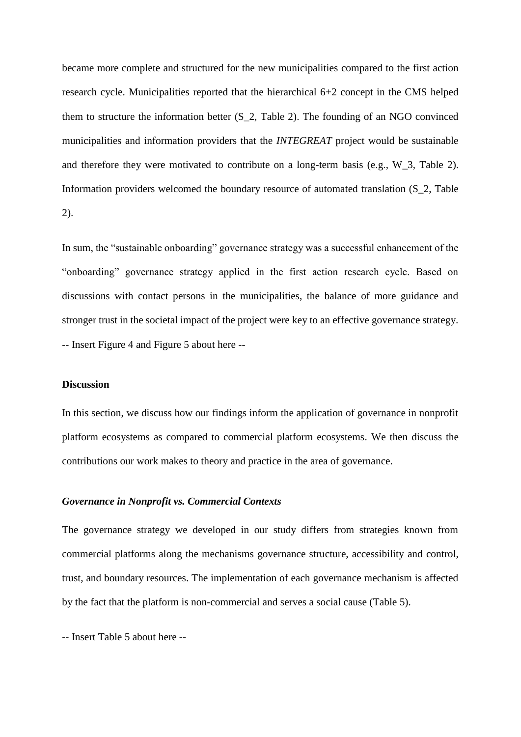became more complete and structured for the new municipalities compared to the first action research cycle. Municipalities reported that the hierarchical 6+2 concept in the CMS helped them to structure the information better (S\_2, [Table 2\)](#page-34-1). The founding of an NGO convinced municipalities and information providers that the *INTEGREAT* project would be sustainable and therefore they were motivated to contribute on a long-term basis (e.g., W\_3, [Table 2\)](#page-34-1). Information providers welcomed the boundary resource of automated translation (S\_2, [Table](#page-34-1)  [2\)](#page-34-1).

In sum, the "sustainable onboarding" governance strategy was a successful enhancement of the "onboarding" governance strategy applied in the first action research cycle. Based on discussions with contact persons in the municipalities, the balance of more guidance and stronger trust in the societal impact of the project were key to an effective governance strategy. -- Insert [Figure 4](#page-39-0) and [Figure 5](#page-39-1) about here --

## **Discussion**

In this section, we discuss how our findings inform the application of governance in nonprofit platform ecosystems as compared to commercial platform ecosystems. We then discuss the contributions our work makes to theory and practice in the area of governance.

#### *Governance in Nonprofit vs. Commercial Contexts*

The governance strategy we developed in our study differs from strategies known from commercial platforms along the mechanisms governance structure, accessibility and control, trust, and boundary resources. The implementation of each governance mechanism is affected by the fact that the platform is non-commercial and serves a social cause [\(Table 5\)](#page-36-0).

-- Insert [Table 5](#page-36-0) about here --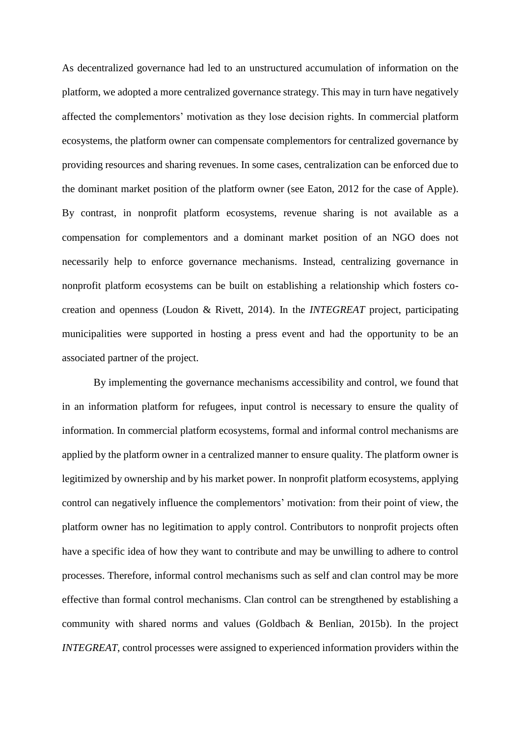As decentralized governance had led to an unstructured accumulation of information on the platform, we adopted a more centralized governance strategy. This may in turn have negatively affected the complementors' motivation as they lose decision rights. In commercial platform ecosystems, the platform owner can compensate complementors for centralized governance by providing resources and sharing revenues. In some cases, centralization can be enforced due to the dominant market position of the platform owner (see Eaton, 2012 for the case of Apple). By contrast, in nonprofit platform ecosystems, revenue sharing is not available as a compensation for complementors and a dominant market position of an NGO does not necessarily help to enforce governance mechanisms. Instead, centralizing governance in nonprofit platform ecosystems can be built on establishing a relationship which fosters cocreation and openness (Loudon & Rivett, 2014). In the *INTEGREAT* project, participating municipalities were supported in hosting a press event and had the opportunity to be an associated partner of the project.

By implementing the governance mechanisms accessibility and control, we found that in an information platform for refugees, input control is necessary to ensure the quality of information. In commercial platform ecosystems, formal and informal control mechanisms are applied by the platform owner in a centralized manner to ensure quality. The platform owner is legitimized by ownership and by his market power. In nonprofit platform ecosystems, applying control can negatively influence the complementors' motivation: from their point of view, the platform owner has no legitimation to apply control. Contributors to nonprofit projects often have a specific idea of how they want to contribute and may be unwilling to adhere to control processes. Therefore, informal control mechanisms such as self and clan control may be more effective than formal control mechanisms. Clan control can be strengthened by establishing a community with shared norms and values (Goldbach & Benlian, 2015b). In the project *INTEGREAT*, control processes were assigned to experienced information providers within the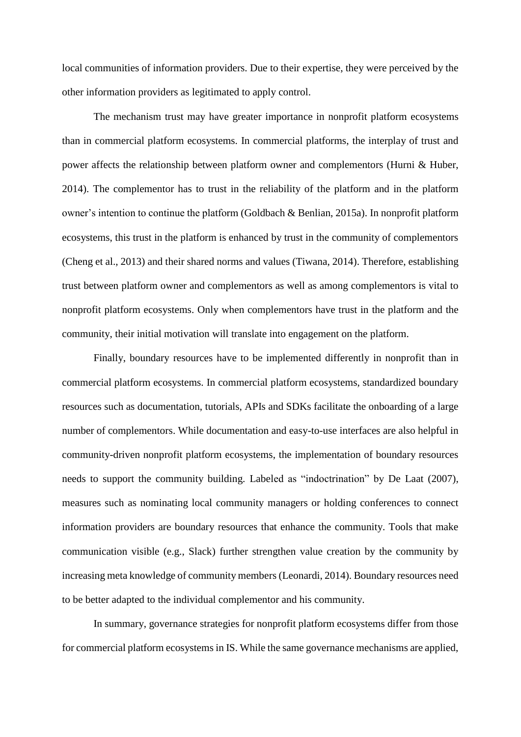local communities of information providers. Due to their expertise, they were perceived by the other information providers as legitimated to apply control.

The mechanism trust may have greater importance in nonprofit platform ecosystems than in commercial platform ecosystems. In commercial platforms, the interplay of trust and power affects the relationship between platform owner and complementors (Hurni & Huber, 2014). The complementor has to trust in the reliability of the platform and in the platform owner's intention to continue the platform (Goldbach & Benlian, 2015a). In nonprofit platform ecosystems, this trust in the platform is enhanced by trust in the community of complementors (Cheng et al., 2013) and their shared norms and values (Tiwana, 2014). Therefore, establishing trust between platform owner and complementors as well as among complementors is vital to nonprofit platform ecosystems. Only when complementors have trust in the platform and the community, their initial motivation will translate into engagement on the platform.

Finally, boundary resources have to be implemented differently in nonprofit than in commercial platform ecosystems. In commercial platform ecosystems, standardized boundary resources such as documentation, tutorials, APIs and SDKs facilitate the onboarding of a large number of complementors. While documentation and easy-to-use interfaces are also helpful in community-driven nonprofit platform ecosystems, the implementation of boundary resources needs to support the community building. Labeled as "indoctrination" by De Laat (2007), measures such as nominating local community managers or holding conferences to connect information providers are boundary resources that enhance the community. Tools that make communication visible (e.g., Slack) further strengthen value creation by the community by increasing meta knowledge of community members (Leonardi, 2014). Boundary resources need to be better adapted to the individual complementor and his community.

In summary, governance strategies for nonprofit platform ecosystems differ from those for commercial platform ecosystems in IS. While the same governance mechanisms are applied,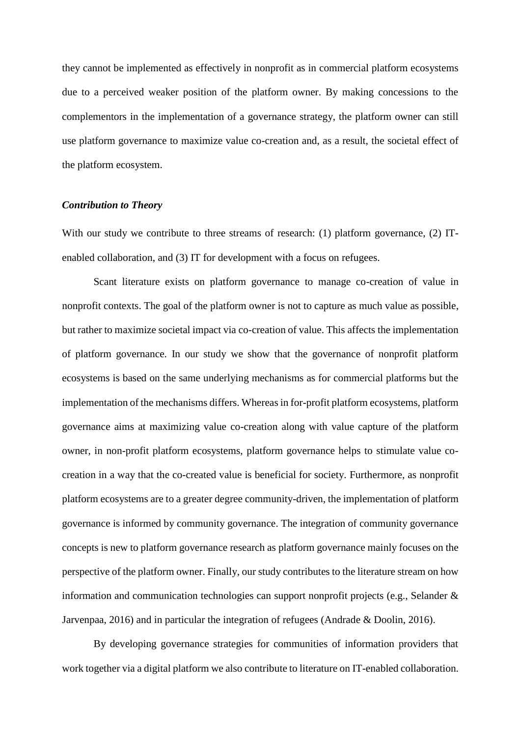they cannot be implemented as effectively in nonprofit as in commercial platform ecosystems due to a perceived weaker position of the platform owner. By making concessions to the complementors in the implementation of a governance strategy, the platform owner can still use platform governance to maximize value co-creation and, as a result, the societal effect of the platform ecosystem.

## *Contribution to Theory*

With our study we contribute to three streams of research: (1) platform governance, (2) ITenabled collaboration, and (3) IT for development with a focus on refugees.

Scant literature exists on platform governance to manage co-creation of value in nonprofit contexts. The goal of the platform owner is not to capture as much value as possible, but rather to maximize societal impact via co-creation of value. This affects the implementation of platform governance. In our study we show that the governance of nonprofit platform ecosystems is based on the same underlying mechanisms as for commercial platforms but the implementation of the mechanisms differs. Whereas in for-profit platform ecosystems, platform governance aims at maximizing value co-creation along with value capture of the platform owner, in non-profit platform ecosystems, platform governance helps to stimulate value cocreation in a way that the co-created value is beneficial for society. Furthermore, as nonprofit platform ecosystems are to a greater degree community-driven, the implementation of platform governance is informed by community governance. The integration of community governance concepts is new to platform governance research as platform governance mainly focuses on the perspective of the platform owner. Finally, our study contributes to the literature stream on how information and communication technologies can support nonprofit projects (e.g., Selander & Jarvenpaa, 2016) and in particular the integration of refugees (Andrade & Doolin, 2016).

By developing governance strategies for communities of information providers that work together via a digital platform we also contribute to literature on IT-enabled collaboration.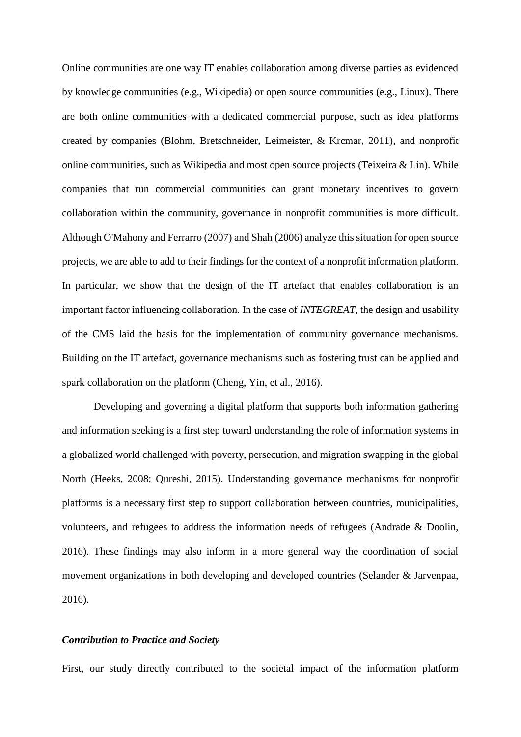Online communities are one way IT enables collaboration among diverse parties as evidenced by knowledge communities (e.g., Wikipedia) or open source communities (e.g., Linux). There are both online communities with a dedicated commercial purpose, such as idea platforms created by companies (Blohm, Bretschneider, Leimeister, & Krcmar, 2011), and nonprofit online communities, such as Wikipedia and most open source projects (Teixeira & Lin). While companies that run commercial communities can grant monetary incentives to govern collaboration within the community, governance in nonprofit communities is more difficult. Although O'Mahony and Ferrarro (2007) and Shah (2006) analyze this situation for open source projects, we are able to add to their findings for the context of a nonprofit information platform. In particular, we show that the design of the IT artefact that enables collaboration is an important factor influencing collaboration. In the case of *INTEGREAT*, the design and usability of the CMS laid the basis for the implementation of community governance mechanisms. Building on the IT artefact, governance mechanisms such as fostering trust can be applied and spark collaboration on the platform (Cheng, Yin, et al., 2016).

Developing and governing a digital platform that supports both information gathering and information seeking is a first step toward understanding the role of information systems in a globalized world challenged with poverty, persecution, and migration swapping in the global North (Heeks, 2008; Qureshi, 2015). Understanding governance mechanisms for nonprofit platforms is a necessary first step to support collaboration between countries, municipalities, volunteers, and refugees to address the information needs of refugees (Andrade & Doolin, 2016). These findings may also inform in a more general way the coordination of social movement organizations in both developing and developed countries (Selander & Jarvenpaa, 2016).

#### *Contribution to Practice and Society*

First, our study directly contributed to the societal impact of the information platform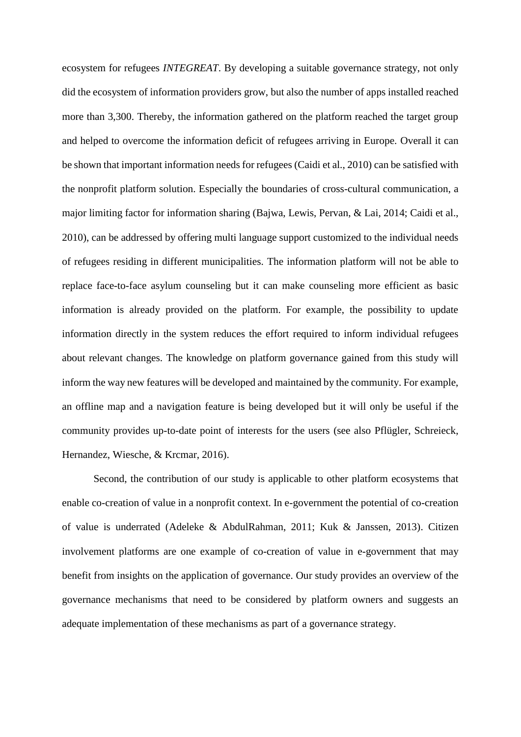ecosystem for refugees *INTEGREAT*. By developing a suitable governance strategy, not only did the ecosystem of information providers grow, but also the number of apps installed reached more than 3,300. Thereby, the information gathered on the platform reached the target group and helped to overcome the information deficit of refugees arriving in Europe. Overall it can be shown that important information needs for refugees (Caidi et al., 2010) can be satisfied with the nonprofit platform solution. Especially the boundaries of cross-cultural communication, a major limiting factor for information sharing (Bajwa, Lewis, Pervan, & Lai, 2014; Caidi et al., 2010), can be addressed by offering multi language support customized to the individual needs of refugees residing in different municipalities. The information platform will not be able to replace face-to-face asylum counseling but it can make counseling more efficient as basic information is already provided on the platform. For example, the possibility to update information directly in the system reduces the effort required to inform individual refugees about relevant changes. The knowledge on platform governance gained from this study will inform the way new features will be developed and maintained by the community. For example, an offline map and a navigation feature is being developed but it will only be useful if the community provides up-to-date point of interests for the users (see also Pflügler, Schreieck, Hernandez, Wiesche, & Krcmar, 2016).

Second, the contribution of our study is applicable to other platform ecosystems that enable co-creation of value in a nonprofit context. In e-government the potential of co-creation of value is underrated (Adeleke & AbdulRahman, 2011; Kuk & Janssen, 2013). Citizen involvement platforms are one example of co-creation of value in e-government that may benefit from insights on the application of governance. Our study provides an overview of the governance mechanisms that need to be considered by platform owners and suggests an adequate implementation of these mechanisms as part of a governance strategy.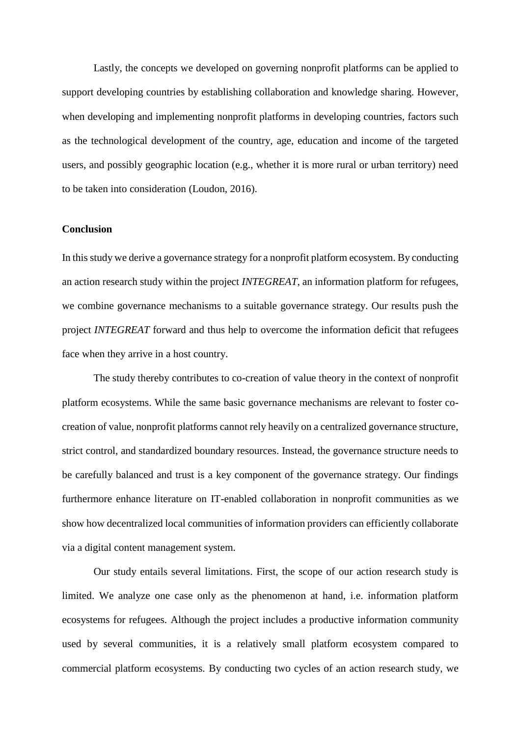Lastly, the concepts we developed on governing nonprofit platforms can be applied to support developing countries by establishing collaboration and knowledge sharing. However, when developing and implementing nonprofit platforms in developing countries, factors such as the technological development of the country, age, education and income of the targeted users, and possibly geographic location (e.g., whether it is more rural or urban territory) need to be taken into consideration (Loudon, 2016).

#### **Conclusion**

In this study we derive a governance strategy for a nonprofit platform ecosystem. By conducting an action research study within the project *INTEGREAT*, an information platform for refugees, we combine governance mechanisms to a suitable governance strategy. Our results push the project *INTEGREAT* forward and thus help to overcome the information deficit that refugees face when they arrive in a host country.

The study thereby contributes to co-creation of value theory in the context of nonprofit platform ecosystems. While the same basic governance mechanisms are relevant to foster cocreation of value, nonprofit platforms cannot rely heavily on a centralized governance structure, strict control, and standardized boundary resources. Instead, the governance structure needs to be carefully balanced and trust is a key component of the governance strategy. Our findings furthermore enhance literature on IT-enabled collaboration in nonprofit communities as we show how decentralized local communities of information providers can efficiently collaborate via a digital content management system.

Our study entails several limitations. First, the scope of our action research study is limited. We analyze one case only as the phenomenon at hand, i.e. information platform ecosystems for refugees. Although the project includes a productive information community used by several communities, it is a relatively small platform ecosystem compared to commercial platform ecosystems. By conducting two cycles of an action research study, we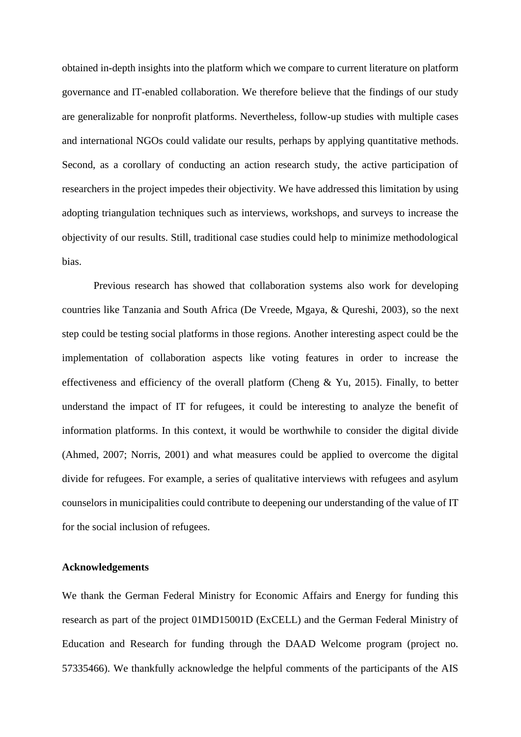obtained in-depth insights into the platform which we compare to current literature on platform governance and IT-enabled collaboration. We therefore believe that the findings of our study are generalizable for nonprofit platforms. Nevertheless, follow-up studies with multiple cases and international NGOs could validate our results, perhaps by applying quantitative methods. Second, as a corollary of conducting an action research study, the active participation of researchers in the project impedes their objectivity. We have addressed this limitation by using adopting triangulation techniques such as interviews, workshops, and surveys to increase the objectivity of our results. Still, traditional case studies could help to minimize methodological bias.

Previous research has showed that collaboration systems also work for developing countries like Tanzania and South Africa (De Vreede, Mgaya, & Qureshi, 2003), so the next step could be testing social platforms in those regions. Another interesting aspect could be the implementation of collaboration aspects like voting features in order to increase the effectiveness and efficiency of the overall platform (Cheng & Yu, 2015). Finally, to better understand the impact of IT for refugees, it could be interesting to analyze the benefit of information platforms. In this context, it would be worthwhile to consider the digital divide (Ahmed, 2007; Norris, 2001) and what measures could be applied to overcome the digital divide for refugees. For example, a series of qualitative interviews with refugees and asylum counselors in municipalities could contribute to deepening our understanding of the value of IT for the social inclusion of refugees.

#### **Acknowledgements**

We thank the German Federal Ministry for Economic Affairs and Energy for funding this research as part of the project 01MD15001D (ExCELL) and the German Federal Ministry of Education and Research for funding through the DAAD Welcome program (project no. 57335466). We thankfully acknowledge the helpful comments of the participants of the AIS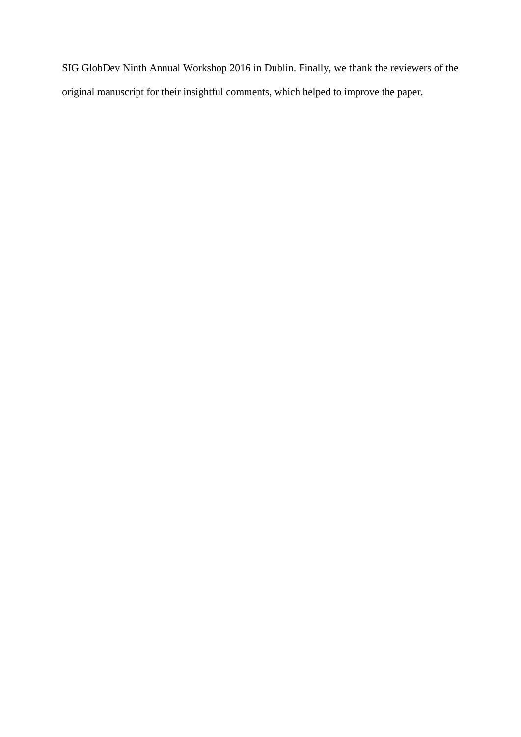SIG GlobDev Ninth Annual Workshop 2016 in Dublin. Finally, we thank the reviewers of the original manuscript for their insightful comments, which helped to improve the paper.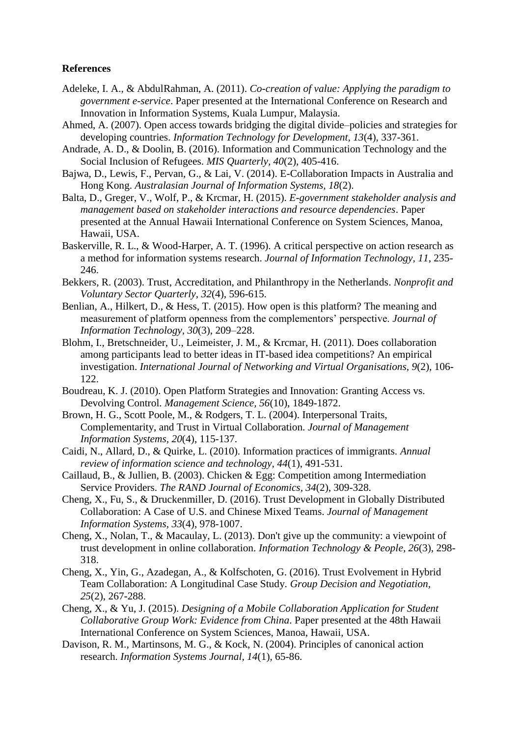## **References**

- Adeleke, I. A., & AbdulRahman, A. (2011). *Co-creation of value: Applying the paradigm to government e-service*. Paper presented at the International Conference on Research and Innovation in Information Systems, Kuala Lumpur, Malaysia.
- Ahmed, A. (2007). Open access towards bridging the digital divide–policies and strategies for developing countries. *Information Technology for Development, 13*(4), 337-361.
- Andrade, A. D., & Doolin, B. (2016). Information and Communication Technology and the Social Inclusion of Refugees. *MIS Quarterly, 40*(2), 405-416.
- Bajwa, D., Lewis, F., Pervan, G., & Lai, V. (2014). E-Collaboration Impacts in Australia and Hong Kong. *Australasian Journal of Information Systems, 18*(2).
- Balta, D., Greger, V., Wolf, P., & Krcmar, H. (2015). *E-government stakeholder analysis and management based on stakeholder interactions and resource dependencies*. Paper presented at the Annual Hawaii International Conference on System Sciences, Manoa, Hawaii, USA.
- Baskerville, R. L., & Wood-Harper, A. T. (1996). A critical perspective on action research as a method for information systems research. *Journal of Information Technology, 11*, 235- 246.
- Bekkers, R. (2003). Trust, Accreditation, and Philanthropy in the Netherlands. *Nonprofit and Voluntary Sector Quarterly, 32*(4), 596-615.
- Benlian, A., Hilkert, D., & Hess, T. (2015). How open is this platform? The meaning and measurement of platform openness from the complementors' perspective. *Journal of Information Technology, 30*(3), 209–228.
- Blohm, I., Bretschneider, U., Leimeister, J. M., & Krcmar, H. (2011). Does collaboration among participants lead to better ideas in IT-based idea competitions? An empirical investigation. *International Journal of Networking and Virtual Organisations, 9*(2), 106- 122.
- Boudreau, K. J. (2010). Open Platform Strategies and Innovation: Granting Access vs. Devolving Control. *Management Science, 56*(10), 1849-1872.
- Brown, H. G., Scott Poole, M., & Rodgers, T. L. (2004). Interpersonal Traits, Complementarity, and Trust in Virtual Collaboration. *Journal of Management Information Systems, 20*(4), 115-137.
- Caidi, N., Allard, D., & Quirke, L. (2010). Information practices of immigrants. *Annual review of information science and technology, 44*(1), 491-531.
- Caillaud, B., & Jullien, B. (2003). Chicken & Egg: Competition among Intermediation Service Providers. *The RAND Journal of Economics, 34*(2), 309-328.
- Cheng, X., Fu, S., & Druckenmiller, D. (2016). Trust Development in Globally Distributed Collaboration: A Case of U.S. and Chinese Mixed Teams. *Journal of Management Information Systems, 33*(4), 978-1007.
- Cheng, X., Nolan, T., & Macaulay, L. (2013). Don't give up the community: a viewpoint of trust development in online collaboration. *Information Technology & People, 26*(3), 298- 318.
- Cheng, X., Yin, G., Azadegan, A., & Kolfschoten, G. (2016). Trust Evolvement in Hybrid Team Collaboration: A Longitudinal Case Study. *Group Decision and Negotiation, 25*(2), 267-288.
- Cheng, X., & Yu, J. (2015). *Designing of a Mobile Collaboration Application for Student Collaborative Group Work: Evidence from China*. Paper presented at the 48th Hawaii International Conference on System Sciences, Manoa, Hawaii, USA.
- Davison, R. M., Martinsons, M. G., & Kock, N. (2004). Principles of canonical action research. *Information Systems Journal, 14*(1), 65-86.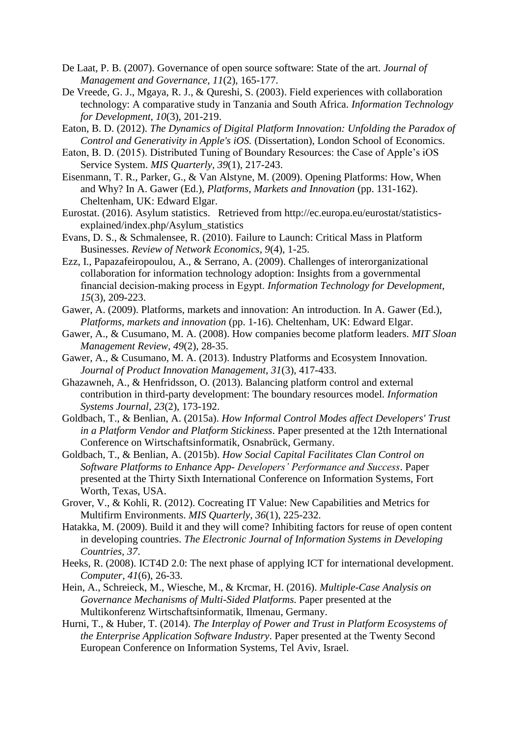- De Laat, P. B. (2007). Governance of open source software: State of the art. *Journal of Management and Governance, 11*(2), 165-177.
- De Vreede, G. J., Mgaya, R. J., & Qureshi, S. (2003). Field experiences with collaboration technology: A comparative study in Tanzania and South Africa. *Information Technology for Development, 10*(3), 201-219.
- Eaton, B. D. (2012). *The Dynamics of Digital Platform Innovation: Unfolding the Paradox of Control and Generativity in Apple's iOS.* (Dissertation), London School of Economics.
- Eaton, B. D. (2015). Distributed Tuning of Boundary Resources: the Case of Apple's iOS Service System. *MIS Quarterly, 39*(1), 217-243.
- Eisenmann, T. R., Parker, G., & Van Alstyne, M. (2009). Opening Platforms: How, When and Why? In A. Gawer (Ed.), *Platforms, Markets and Innovation* (pp. 131-162). Cheltenham, UK: Edward Elgar.
- Eurostat. (2016). Asylum statistics. Retrieved from http://ec.europa.eu/eurostat/statisticsexplained/index.php/Asylum\_statistics
- Evans, D. S., & Schmalensee, R. (2010). Failure to Launch: Critical Mass in Platform Businesses. *Review of Network Economics, 9*(4), 1-25.
- Ezz, I., Papazafeiropoulou, A., & Serrano, A. (2009). Challenges of interorganizational collaboration for information technology adoption: Insights from a governmental financial decision‐making process in Egypt. *Information Technology for Development, 15*(3), 209-223.
- Gawer, A. (2009). Platforms, markets and innovation: An introduction. In A. Gawer (Ed.), *Platforms, markets and innovation* (pp. 1-16). Cheltenham, UK: Edward Elgar.
- Gawer, A., & Cusumano, M. A. (2008). How companies become platform leaders. *MIT Sloan Management Review, 49*(2), 28-35.
- Gawer, A., & Cusumano, M. A. (2013). Industry Platforms and Ecosystem Innovation. *Journal of Product Innovation Management, 31*(3), 417-433.
- Ghazawneh, A., & Henfridsson, O. (2013). Balancing platform control and external contribution in third-party development: The boundary resources model. *Information Systems Journal, 23*(2), 173-192.
- Goldbach, T., & Benlian, A. (2015a). *How Informal Control Modes affect Developers' Trust in a Platform Vendor and Platform Stickiness*. Paper presented at the 12th International Conference on Wirtschaftsinformatik, Osnabrück, Germany.
- Goldbach, T., & Benlian, A. (2015b). *How Social Capital Facilitates Clan Control on Software Platforms to Enhance App- Developers' Performance and Success*. Paper presented at the Thirty Sixth International Conference on Information Systems, Fort Worth, Texas, USA.
- Grover, V., & Kohli, R. (2012). Cocreating IT Value: New Capabilities and Metrics for Multifirm Environments. *MIS Quarterly, 36*(1), 225-232.
- Hatakka, M. (2009). Build it and they will come? Inhibiting factors for reuse of open content in developing countries. *The Electronic Journal of Information Systems in Developing Countries, 37*.
- Heeks, R. (2008). ICT4D 2.0: The next phase of applying ICT for international development. *Computer, 41*(6), 26-33.
- Hein, A., Schreieck, M., Wiesche, M., & Krcmar, H. (2016). *Multiple-Case Analysis on Governance Mechanisms of Multi-Sided Platforms*. Paper presented at the Multikonferenz Wirtschaftsinformatik, Ilmenau, Germany.
- Hurni, T., & Huber, T. (2014). *The Interplay of Power and Trust in Platform Ecosystems of the Enterprise Application Software Industry*. Paper presented at the Twenty Second European Conference on Information Systems, Tel Aviv, Israel.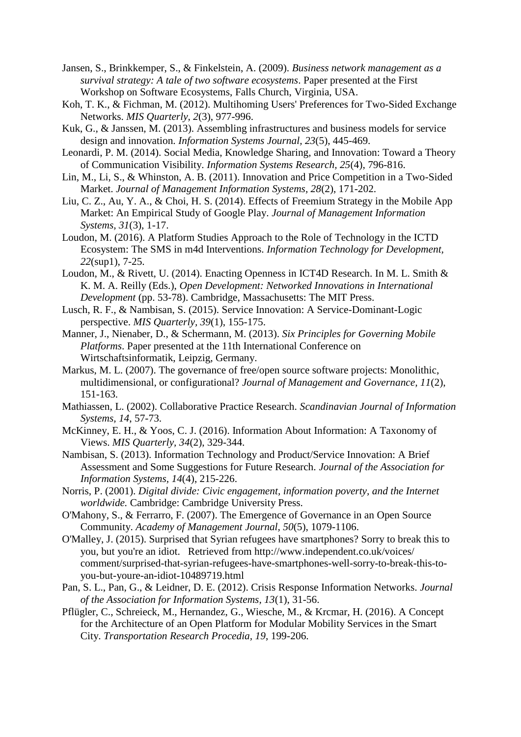Jansen, S., Brinkkemper, S., & Finkelstein, A. (2009). *Business network management as a survival strategy: A tale of two software ecosystems*. Paper presented at the First Workshop on Software Ecosystems, Falls Church, Virginia, USA.

- Koh, T. K., & Fichman, M. (2012). Multihoming Users' Preferences for Two-Sided Exchange Networks. *MIS Quarterly, 2*(3), 977-996.
- Kuk, G., & Janssen, M. (2013). Assembling infrastructures and business models for service design and innovation. *Information Systems Journal, 23*(5), 445-469.
- Leonardi, P. M. (2014). Social Media, Knowledge Sharing, and Innovation: Toward a Theory of Communication Visibility. *Information Systems Research, 25*(4), 796-816.
- Lin, M., Li, S., & Whinston, A. B. (2011). Innovation and Price Competition in a Two-Sided Market. *Journal of Management Information Systems, 28*(2), 171-202.
- Liu, C. Z., Au, Y. A., & Choi, H. S. (2014). Effects of Freemium Strategy in the Mobile App Market: An Empirical Study of Google Play. *Journal of Management Information Systems, 31*(3), 1-17.
- Loudon, M. (2016). A Platform Studies Approach to the Role of Technology in the ICTD Ecosystem: The SMS in m4d Interventions. *Information Technology for Development, 22*(sup1), 7-25.
- Loudon, M., & Rivett, U. (2014). Enacting Openness in ICT4D Research. In M. L. Smith & K. M. A. Reilly (Eds.), *Open Development: Networked Innovations in International Development* (pp. 53-78). Cambridge, Massachusetts: The MIT Press.
- Lusch, R. F., & Nambisan, S. (2015). Service Innovation: A Service-Dominant-Logic perspective. *MIS Quarterly, 39*(1), 155-175.
- Manner, J., Nienaber, D., & Schermann, M. (2013). *Six Principles for Governing Mobile Platforms*. Paper presented at the 11th International Conference on Wirtschaftsinformatik, Leipzig, Germany.
- Markus, M. L. (2007). The governance of free/open source software projects: Monolithic, multidimensional, or configurational? *Journal of Management and Governance, 11*(2), 151-163.
- Mathiassen, L. (2002). Collaborative Practice Research. *Scandinavian Journal of Information Systems, 14*, 57-73.
- McKinney, E. H., & Yoos, C. J. (2016). Information About Information: A Taxonomy of Views. *MIS Quarterly, 34*(2), 329-344.
- Nambisan, S. (2013). Information Technology and Product/Service Innovation: A Brief Assessment and Some Suggestions for Future Research. *Journal of the Association for Information Systems, 14*(4), 215-226.
- Norris, P. (2001). *Digital divide: Civic engagement, information poverty, and the Internet worldwide.* Cambridge: Cambridge University Press.
- O'Mahony, S., & Ferrarro, F. (2007). The Emergence of Governance in an Open Source Community. *Academy of Management Journal, 50*(5), 1079-1106.
- O'Malley, J. (2015). Surprised that Syrian refugees have smartphones? Sorry to break this to you, but you're an idiot. Retrieved from http://www.independent.co.uk/voices/ comment/surprised-that-syrian-refugees-have-smartphones-well-sorry-to-break-this-toyou-but-youre-an-idiot-10489719.html
- Pan, S. L., Pan, G., & Leidner, D. E. (2012). Crisis Response Information Networks. *Journal of the Association for Information Systems, 13*(1), 31-56.
- Pflügler, C., Schreieck, M., Hernandez, G., Wiesche, M., & Krcmar, H. (2016). A Concept for the Architecture of an Open Platform for Modular Mobility Services in the Smart City. *Transportation Research Procedia, 19*, 199-206.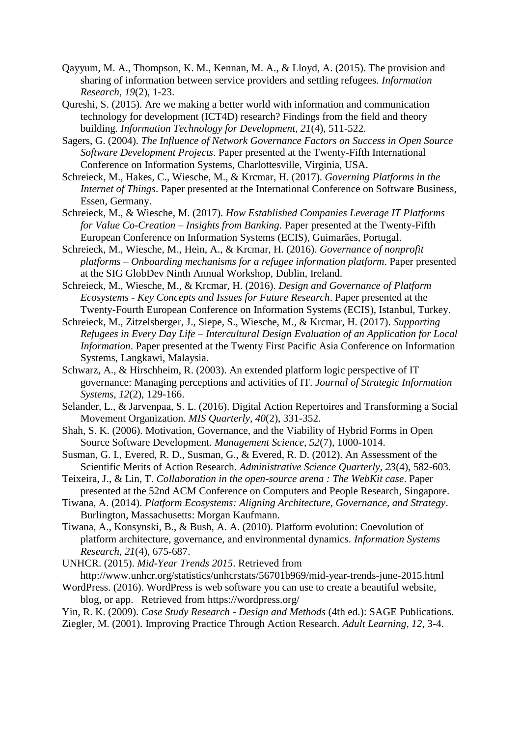- Qayyum, M. A., Thompson, K. M., Kennan, M. A., & Lloyd, A. (2015). The provision and sharing of information between service providers and settling refugees. *Information Research, 19*(2), 1-23.
- Qureshi, S. (2015). Are we making a better world with information and communication technology for development (ICT4D) research? Findings from the field and theory building. *Information Technology for Development, 21*(4), 511-522.
- Sagers, G. (2004). *The Influence of Network Governance Factors on Success in Open Source Software Development Projects*. Paper presented at the Twenty-Fifth International Conference on Information Systems, Charlottesville, Virginia, USA.
- Schreieck, M., Hakes, C., Wiesche, M., & Krcmar, H. (2017). *Governing Platforms in the Internet of Things*. Paper presented at the International Conference on Software Business, Essen, Germany.
- Schreieck, M., & Wiesche, M. (2017). *How Established Companies Leverage IT Platforms for Value Co-Creation – Insights from Banking*. Paper presented at the Twenty-Fifth European Conference on Information Systems (ECIS), Guimarães, Portugal.
- Schreieck, M., Wiesche, M., Hein, A., & Krcmar, H. (2016). *Governance of nonprofit platforms – Onboarding mechanisms for a refugee information platform*. Paper presented at the SIG GlobDev Ninth Annual Workshop, Dublin, Ireland.
- Schreieck, M., Wiesche, M., & Krcmar, H. (2016). *Design and Governance of Platform Ecosystems - Key Concepts and Issues for Future Research*. Paper presented at the Twenty-Fourth European Conference on Information Systems (ECIS), Istanbul, Turkey.
- Schreieck, M., Zitzelsberger, J., Siepe, S., Wiesche, M., & Krcmar, H. (2017). *Supporting Refugees in Every Day Life – Intercultural Design Evaluation of an Application for Local Information*. Paper presented at the Twenty First Pacific Asia Conference on Information Systems, Langkawi, Malaysia.
- Schwarz, A., & Hirschheim, R. (2003). An extended platform logic perspective of IT governance: Managing perceptions and activities of IT. *Journal of Strategic Information Systems, 12*(2), 129-166.
- Selander, L., & Jarvenpaa, S. L. (2016). Digital Action Repertoires and Transforming a Social Movement Organization. *MIS Quarterly, 40*(2), 331-352.
- Shah, S. K. (2006). Motivation, Governance, and the Viability of Hybrid Forms in Open Source Software Development. *Management Science, 52*(7), 1000-1014.
- Susman, G. I., Evered, R. D., Susman, G., & Evered, R. D. (2012). An Assessment of the Scientific Merits of Action Research. *Administrative Science Quarterly, 23*(4), 582-603.
- Teixeira, J., & Lin, T. *Collaboration in the open-source arena : The WebKit case*. Paper presented at the 52nd ACM Conference on Computers and People Research, Singapore.
- Tiwana, A. (2014). *Platform Ecosystems: Aligning Architecture, Governance, and Strategy*. Burlington, Massachusetts: Morgan Kaufmann.
- Tiwana, A., Konsynski, B., & Bush, A. A. (2010). Platform evolution: Coevolution of platform architecture, governance, and environmental dynamics. *Information Systems Research, 21*(4), 675-687.
- UNHCR. (2015). *Mid-Year Trends 2015*. Retrieved from http://www.unhcr.org/statistics/unhcrstats/56701b969/mid-year-trends-june-2015.html
- WordPress. (2016). WordPress is web software you can use to create a beautiful website, blog, or app. Retrieved from https://wordpress.org/
- Yin, R. K. (2009). *Case Study Research - Design and Methods* (4th ed.): SAGE Publications.
- Ziegler, M. (2001). Improving Practice Through Action Research. *Adult Learning, 12*, 3-4.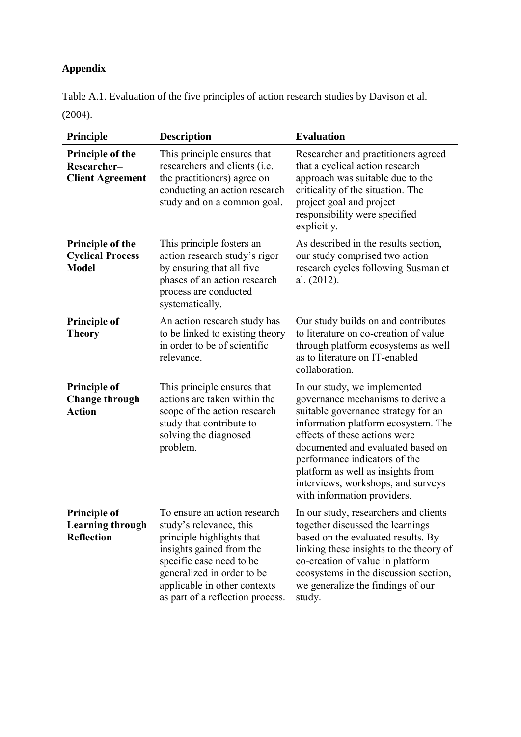# **Appendix**

Table A.1. Evaluation of the five principles of action research studies by Davison et al. (2004).

| Principle                                                           | <b>Description</b>                                                                                                                                                                                                                             | <b>Evaluation</b>                                                                                                                                                                                                                                                                                                                                                |
|---------------------------------------------------------------------|------------------------------------------------------------------------------------------------------------------------------------------------------------------------------------------------------------------------------------------------|------------------------------------------------------------------------------------------------------------------------------------------------------------------------------------------------------------------------------------------------------------------------------------------------------------------------------------------------------------------|
| Principle of the<br>Researcher-<br><b>Client Agreement</b>          | This principle ensures that<br>researchers and clients (i.e.<br>the practitioners) agree on<br>conducting an action research<br>study and on a common goal.                                                                                    | Researcher and practitioners agreed<br>that a cyclical action research<br>approach was suitable due to the<br>criticality of the situation. The<br>project goal and project<br>responsibility were specified<br>explicitly.                                                                                                                                      |
| <b>Principle of the</b><br><b>Cyclical Process</b><br><b>Model</b>  | This principle fosters an<br>action research study's rigor<br>by ensuring that all five<br>phases of an action research<br>process are conducted<br>systematically.                                                                            | As described in the results section,<br>our study comprised two action<br>research cycles following Susman et<br>al. (2012).                                                                                                                                                                                                                                     |
| <b>Principle of</b><br><b>Theory</b>                                | An action research study has<br>to be linked to existing theory<br>in order to be of scientific<br>relevance.                                                                                                                                  | Our study builds on and contributes<br>to literature on co-creation of value<br>through platform ecosystems as well<br>as to literature on IT-enabled<br>collaboration.                                                                                                                                                                                          |
| <b>Principle of</b><br><b>Change through</b><br><b>Action</b>       | This principle ensures that<br>actions are taken within the<br>scope of the action research<br>study that contribute to<br>solving the diagnosed<br>problem.                                                                                   | In our study, we implemented<br>governance mechanisms to derive a<br>suitable governance strategy for an<br>information platform ecosystem. The<br>effects of these actions were<br>documented and evaluated based on<br>performance indicators of the<br>platform as well as insights from<br>interviews, workshops, and surveys<br>with information providers. |
| <b>Principle of</b><br><b>Learning through</b><br><b>Reflection</b> | To ensure an action research<br>study's relevance, this<br>principle highlights that<br>insights gained from the<br>specific case need to be<br>generalized in order to be<br>applicable in other contexts<br>as part of a reflection process. | In our study, researchers and clients<br>together discussed the learnings<br>based on the evaluated results. By<br>linking these insights to the theory of<br>co-creation of value in platform<br>ecosystems in the discussion section,<br>we generalize the findings of our<br>study.                                                                           |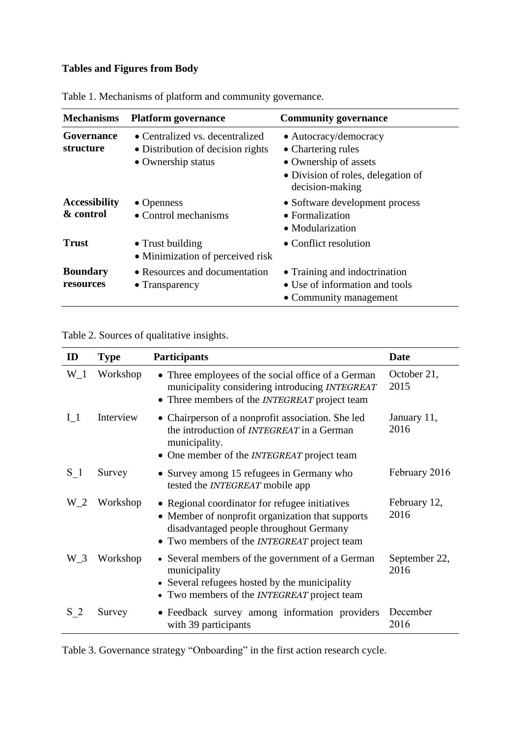## **Tables and Figures from Body**

| <b>Mechanisms</b>                 | <b>Platform governance</b>                                                                 | <b>Community governance</b>                                                                                                   |
|-----------------------------------|--------------------------------------------------------------------------------------------|-------------------------------------------------------------------------------------------------------------------------------|
| Governance<br>structure           | • Centralized vs. decentralized<br>• Distribution of decision rights<br>• Ownership status | • Autocracy/democracy<br>• Chartering rules<br>• Ownership of assets<br>• Division of roles, delegation of<br>decision-making |
| <b>Accessibility</b><br>& control | $\bullet$ Openness<br>• Control mechanisms                                                 | • Software development process<br>• Formalization<br>• Modularization                                                         |
| Trust                             | • Trust building<br>• Minimization of perceived risk                                       | • Conflict resolution                                                                                                         |
| <b>Boundary</b><br>resources      | • Resources and documentation<br>• Transparency                                            | • Training and indoctrination<br>• Use of information and tools<br>• Community management                                     |

<span id="page-34-0"></span>Table 1. Mechanisms of platform and community governance.

## <span id="page-34-1"></span>Table 2. Sources of qualitative insights.

| ID             | <b>Type</b> | <b>Participants</b>                                                                                                                                                                                 | <b>Date</b>           |
|----------------|-------------|-----------------------------------------------------------------------------------------------------------------------------------------------------------------------------------------------------|-----------------------|
| $W_1$          | Workshop    | • Three employees of the social office of a German<br>municipality considering introducing INTEGREAT<br>• Three members of the <i>INTEGREAT</i> project team                                        | October 21,<br>2015   |
| I <sub>1</sub> | Interview   | • Chairperson of a nonprofit association. She led<br>the introduction of <i>INTEGREAT</i> in a German<br>municipality.<br>• One member of the <i>INTEGREAT</i> project team                         | January 11,<br>2016   |
| $S_1$          | Survey      | • Survey among 15 refugees in Germany who<br>tested the <i>INTEGREAT</i> mobile app                                                                                                                 | February 2016         |
| W 2            | Workshop    | • Regional coordinator for refugee initiatives<br>• Member of nonprofit organization that supports<br>disadvantaged people throughout Germany<br>• Two members of the <i>INTEGREAT</i> project team | February 12,<br>2016  |
| $W_3$          | Workshop    | • Several members of the government of a German<br>municipality<br>• Several refugees hosted by the municipality<br>• Two members of the <i>INTEGREAT</i> project team                              | September 22,<br>2016 |
| S <sub>2</sub> | Survey      | · Feedback survey among information providers<br>with 39 participants                                                                                                                               | December<br>2016      |

<span id="page-34-2"></span>Table 3. Governance strategy "Onboarding" in the first action research cycle.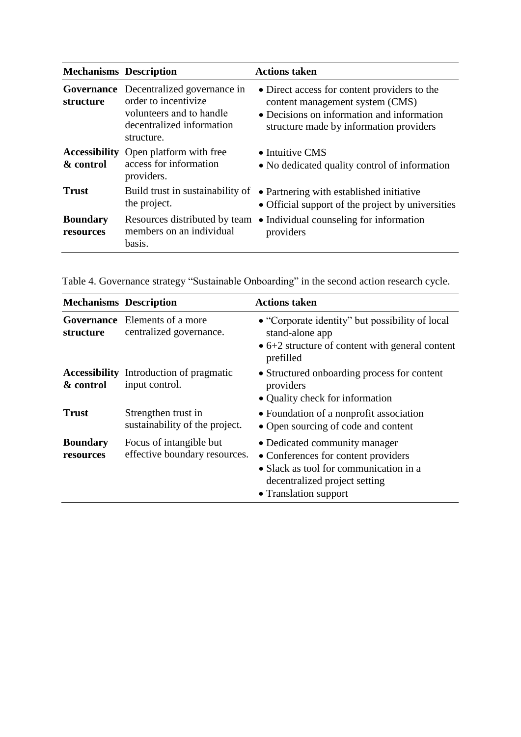| <b>Mechanisms Description</b> |                                                                                                                                              | <b>Actions taken</b>                                                                                                                                                     |
|-------------------------------|----------------------------------------------------------------------------------------------------------------------------------------------|--------------------------------------------------------------------------------------------------------------------------------------------------------------------------|
| structure                     | <b>Governance</b> Decentralized governance in<br>order to incentivize<br>volunteers and to handle<br>decentralized information<br>structure. | • Direct access for content providers to the<br>content management system (CMS)<br>• Decisions on information and information<br>structure made by information providers |
| & control                     | <b>Accessibility</b> Open platform with free<br>access for information<br>providers.                                                         | $\bullet$ Intuitive CMS<br>• No dedicated quality control of information                                                                                                 |
| Trust                         | Build trust in sustainability of<br>the project.                                                                                             | • Partnering with established initiative<br>• Official support of the project by universities                                                                            |
| <b>Boundary</b><br>resources  | Resources distributed by team<br>members on an individual<br>basis.                                                                          | • Individual counseling for information<br>providers                                                                                                                     |

<span id="page-35-0"></span>Table 4. Governance strategy "Sustainable Onboarding" in the second action research cycle.

| <b>Mechanisms Description</b> |                                                                  | <b>Actions taken</b>                                                                                                                                                     |
|-------------------------------|------------------------------------------------------------------|--------------------------------------------------------------------------------------------------------------------------------------------------------------------------|
| structure                     | <b>Governance</b> Elements of a more<br>centralized governance.  | • "Corporate identity" but possibility of local<br>stand-alone app<br>$\bullet$ 6+2 structure of content with general content<br>prefilled                               |
| & control                     | <b>Accessibility</b> Introduction of pragmatic<br>input control. | • Structured onboarding process for content<br>providers<br>• Quality check for information                                                                              |
| <b>Trust</b>                  | Strengthen trust in<br>sustainability of the project.            | • Foundation of a nonprofit association<br>• Open sourcing of code and content                                                                                           |
| <b>Boundary</b><br>resources  | Focus of intangible but<br>effective boundary resources.         | • Dedicated community manager<br>• Conferences for content providers<br>• Slack as tool for communication in a<br>decentralized project setting<br>• Translation support |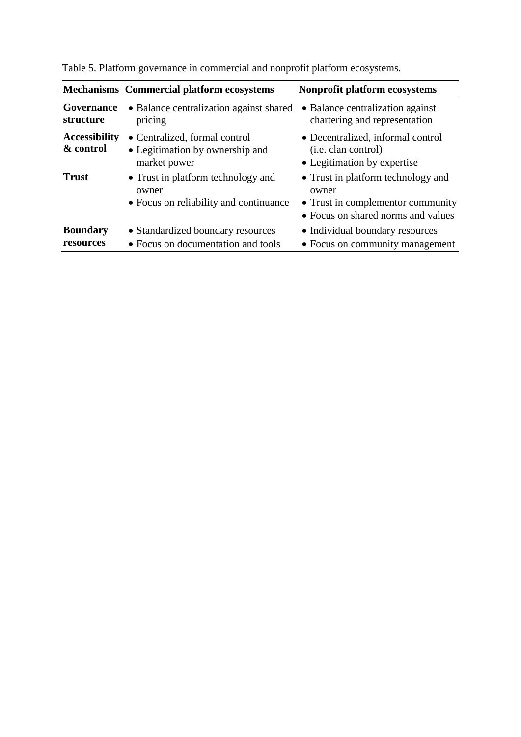|                                   | <b>Mechanisms</b> Commercial platform ecosystems                                      | Nonprofit platform ecosystems                                                                                          |
|-----------------------------------|---------------------------------------------------------------------------------------|------------------------------------------------------------------------------------------------------------------------|
| Governance<br>structure           | • Balance centralization against shared<br>pricing                                    | • Balance centralization against<br>chartering and representation                                                      |
| <b>Accessibility</b><br>& control | • Centralized, formal control<br>• Legitimation by ownership and<br>market power      | • Decentralized, informal control<br>( <i>i.e.</i> clan control)<br>• Legitimation by expertise                        |
| <b>Trust</b>                      | • Trust in platform technology and<br>owner<br>• Focus on reliability and continuance | • Trust in platform technology and<br>owner<br>• Trust in complementor community<br>• Focus on shared norms and values |
| <b>Boundary</b><br>resources      | • Standardized boundary resources<br>• Focus on documentation and tools               | • Individual boundary resources<br>• Focus on community management                                                     |

<span id="page-36-0"></span>Table 5. Platform governance in commercial and nonprofit platform ecosystems.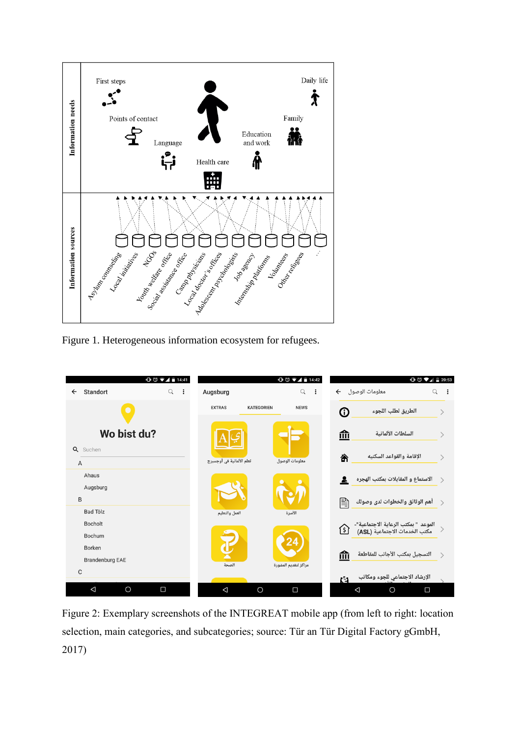

<span id="page-37-0"></span>Figure 1. Heterogeneous information ecosystem for refugees.



<span id="page-37-1"></span>Figure 2: Exemplary screenshots of the INTEGREAT mobile app (from left to right: location selection, main categories, and subcategories; source: Tür an Tür Digital Factory gGmbH, 2017)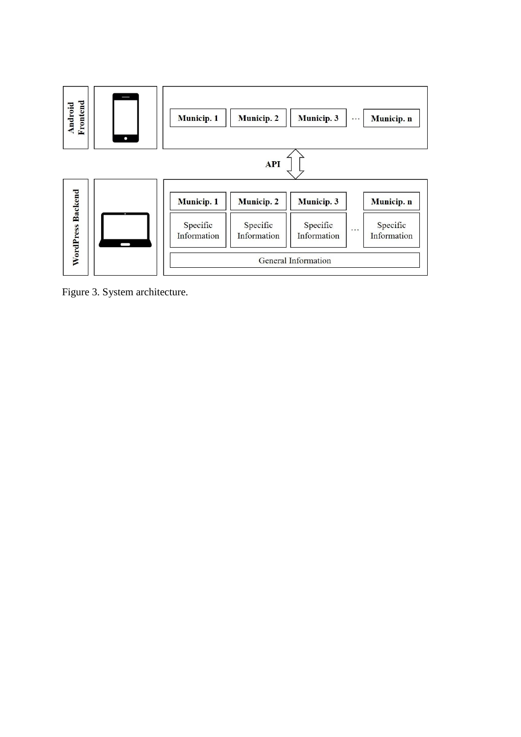

<span id="page-38-0"></span>Figure 3. System architecture.